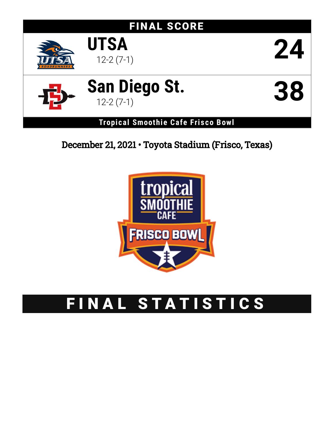# FINAL SCORE



# **San Diego St.** 12-2 (7-1) **38**



**UTSA**

**Tropical Smoothie Cafe Frisco Bowl**

## December 21, 2021 • Toyota Stadium (Frisco, Texas)



# FINAL STATISTICS

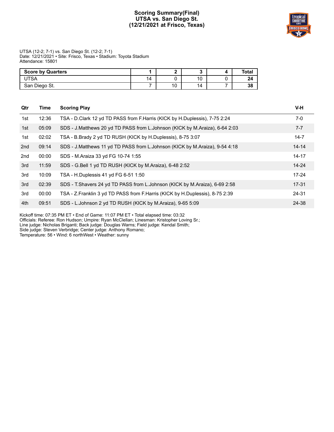#### **Scoring Summary(Final) UTSA vs. San Diego St. (12/21/2021 at Frisco, Texas)**



UTSA (12-2; 7-1) vs. San Diego St. (12-2; 7-1) Date: 12/21/2021 • Site: Frisco, Texas • Stadium: Toyota Stadium Attendance: 15801

| <b>Score by Quarters</b> |    |    |    | Total |
|--------------------------|----|----|----|-------|
| <b>ITSA</b>              | 14 |    | 10 | 24    |
| San Diego St.            |    | 10 | 14 | 38    |

| Qtr | Time  | <b>Scoring Play</b>                                                           | V-H       |
|-----|-------|-------------------------------------------------------------------------------|-----------|
| 1st | 12:36 | TSA - D.Clark 12 yd TD PASS from F.Harris (KICK by H.Duplessis), 7-75 2:24    | $7-0$     |
| 1st | 05:09 | SDS - J.Matthews 20 yd TD PASS from L.Johnson (KICK by M.Araiza), 6-64 2:03   | $7 - 7$   |
| 1st | 02:02 | TSA - B.Brady 2 yd TD RUSH (KICK by H.Duplessis), 8-75 3:07                   | $14 - 7$  |
| 2nd | 09:14 | SDS - J.Matthews 11 yd TD PASS from L.Johnson (KICK by M.Araiza), 9-54 4:18   | $14 - 14$ |
| 2nd | 00:00 | SDS - M.Araiza 33 yd FG 10-74 1:55                                            | $14 - 17$ |
| 3rd | 11:59 | SDS - G.Bell 1 yd TD RUSH (KICK by M.Araiza), 6-48 2:52                       | $14 - 24$ |
| 3rd | 10:09 | TSA - H.Duplessis 41 yd FG 6-51 1:50                                          | $17 - 24$ |
| 3rd | 02:39 | SDS - T. Shavers 24 yd TD PASS from L. Johnson (KICK by M. Araiza), 6-69 2:58 | $17 - 31$ |
| 3rd | 00:00 | TSA - Z.Franklin 3 yd TD PASS from F.Harris (KICK by H.Duplessis), 8-75 2:39  | 24-31     |
| 4th | 09:51 | SDS - L.Johnson 2 yd TD RUSH (KICK by M.Araiza), 9-65 5:09                    | 24-38     |

Kickoff time: 07:35 PM ET • End of Game: 11:07 PM ET • Total elapsed time: 03:32

Officials: Referee: Ron Hudson; Umpire: Ryan McClellan; Linesman: Kristopher Loving Sr.;

Line judge: Nicholas Briganti; Back judge: Douglas Warns; Field judge: Kendal Smith; Side judge: Steven Verbridge; Center judge: Anthony Romano;

Temperature: 56 • Wind: 6 northWest • Weather: sunny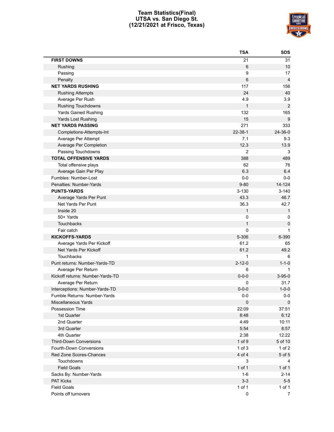#### **Team Statistics(Final) UTSA vs. San Diego St. (12/21/2021 at Frisco, Texas)**



| <b>FIRST DOWNS</b><br>Rushing<br>Passing<br>Penalty<br><b>NET YARDS RUSHING</b><br><b>Rushing Attempts</b><br>Average Per Rush<br><b>Rushing Touchdowns</b><br><b>Yards Gained Rushing</b><br>Yards Lost Rushing<br><b>NET YARDS PASSING</b><br>271<br>22-38-1<br>Completions-Attempts-Int<br>Average Per Attempt<br>12.3<br>Average Per Completion<br>Passing Touchdowns<br><b>TOTAL OFFENSIVE YARDS</b><br>388 | 21<br>31<br>6<br>10<br>9<br>17<br>6<br>$\overline{4}$<br>117<br>156<br>24<br>40<br>4.9<br>3.9<br>$\mathbf{1}$<br>$\overline{2}$<br>132<br>165<br>15<br>9<br>333<br>24-36-0<br>7.1<br>9.3<br>13.9<br>$\overline{2}$<br>3<br>489<br>62<br>76 |
|------------------------------------------------------------------------------------------------------------------------------------------------------------------------------------------------------------------------------------------------------------------------------------------------------------------------------------------------------------------------------------------------------------------|--------------------------------------------------------------------------------------------------------------------------------------------------------------------------------------------------------------------------------------------|
|                                                                                                                                                                                                                                                                                                                                                                                                                  |                                                                                                                                                                                                                                            |
|                                                                                                                                                                                                                                                                                                                                                                                                                  |                                                                                                                                                                                                                                            |
|                                                                                                                                                                                                                                                                                                                                                                                                                  |                                                                                                                                                                                                                                            |
|                                                                                                                                                                                                                                                                                                                                                                                                                  |                                                                                                                                                                                                                                            |
|                                                                                                                                                                                                                                                                                                                                                                                                                  |                                                                                                                                                                                                                                            |
|                                                                                                                                                                                                                                                                                                                                                                                                                  |                                                                                                                                                                                                                                            |
|                                                                                                                                                                                                                                                                                                                                                                                                                  |                                                                                                                                                                                                                                            |
|                                                                                                                                                                                                                                                                                                                                                                                                                  |                                                                                                                                                                                                                                            |
|                                                                                                                                                                                                                                                                                                                                                                                                                  |                                                                                                                                                                                                                                            |
|                                                                                                                                                                                                                                                                                                                                                                                                                  |                                                                                                                                                                                                                                            |
|                                                                                                                                                                                                                                                                                                                                                                                                                  |                                                                                                                                                                                                                                            |
|                                                                                                                                                                                                                                                                                                                                                                                                                  |                                                                                                                                                                                                                                            |
|                                                                                                                                                                                                                                                                                                                                                                                                                  |                                                                                                                                                                                                                                            |
|                                                                                                                                                                                                                                                                                                                                                                                                                  |                                                                                                                                                                                                                                            |
|                                                                                                                                                                                                                                                                                                                                                                                                                  |                                                                                                                                                                                                                                            |
|                                                                                                                                                                                                                                                                                                                                                                                                                  |                                                                                                                                                                                                                                            |
| Total offensive plays                                                                                                                                                                                                                                                                                                                                                                                            |                                                                                                                                                                                                                                            |
| Average Gain Per Play                                                                                                                                                                                                                                                                                                                                                                                            | 6.3<br>6.4                                                                                                                                                                                                                                 |
| Fumbles: Number-Lost                                                                                                                                                                                                                                                                                                                                                                                             | $0-0$<br>$0-0$                                                                                                                                                                                                                             |
| Penalties: Number-Yards<br>$9 - 80$                                                                                                                                                                                                                                                                                                                                                                              | 14-124                                                                                                                                                                                                                                     |
| <b>PUNTS-YARDS</b><br>$3 - 130$                                                                                                                                                                                                                                                                                                                                                                                  | $3 - 140$                                                                                                                                                                                                                                  |
| 43.3<br>Average Yards Per Punt                                                                                                                                                                                                                                                                                                                                                                                   | 46.7                                                                                                                                                                                                                                       |
| 36.3<br>Net Yards Per Punt                                                                                                                                                                                                                                                                                                                                                                                       | 42.7                                                                                                                                                                                                                                       |
| Inside 20                                                                                                                                                                                                                                                                                                                                                                                                        | $\mathbf{1}$<br>1                                                                                                                                                                                                                          |
| 50+ Yards                                                                                                                                                                                                                                                                                                                                                                                                        | 0<br>0                                                                                                                                                                                                                                     |
| Touchbacks                                                                                                                                                                                                                                                                                                                                                                                                       | $\mathbf{1}$<br>$\pmb{0}$                                                                                                                                                                                                                  |
| Fair catch                                                                                                                                                                                                                                                                                                                                                                                                       | 0<br>1                                                                                                                                                                                                                                     |
| <b>KICKOFFS-YARDS</b><br>5-306                                                                                                                                                                                                                                                                                                                                                                                   | 6-390                                                                                                                                                                                                                                      |
| 61.2<br>Average Yards Per Kickoff                                                                                                                                                                                                                                                                                                                                                                                | 65                                                                                                                                                                                                                                         |
| 61.2<br>Net Yards Per Kickoff                                                                                                                                                                                                                                                                                                                                                                                    | 49.2                                                                                                                                                                                                                                       |
| <b>Touchbacks</b>                                                                                                                                                                                                                                                                                                                                                                                                | $\mathbf{1}$<br>6                                                                                                                                                                                                                          |
| $2 - 12 - 0$<br>Punt returns: Number-Yards-TD                                                                                                                                                                                                                                                                                                                                                                    | $1 - 1 - 0$                                                                                                                                                                                                                                |
| Average Per Return                                                                                                                                                                                                                                                                                                                                                                                               | 6                                                                                                                                                                                                                                          |
| $0 - 0 - 0$<br>Kickoff returns: Number-Yards-TD                                                                                                                                                                                                                                                                                                                                                                  | $3 - 95 - 0$                                                                                                                                                                                                                               |
| Average Per Return                                                                                                                                                                                                                                                                                                                                                                                               | 31.7<br>0                                                                                                                                                                                                                                  |
| Interceptions: Number-Yards-TD<br>$0 - 0 - 0$                                                                                                                                                                                                                                                                                                                                                                    | $1 - 0 - 0$                                                                                                                                                                                                                                |
| Fumble Returns: Number-Yards                                                                                                                                                                                                                                                                                                                                                                                     | $0-0$<br>$0-0$                                                                                                                                                                                                                             |
| Miscellaneous Yards                                                                                                                                                                                                                                                                                                                                                                                              | $\pmb{0}$<br>0                                                                                                                                                                                                                             |
| Possession Time<br>22:09                                                                                                                                                                                                                                                                                                                                                                                         | 37:51                                                                                                                                                                                                                                      |
| 8:48<br>1st Quarter                                                                                                                                                                                                                                                                                                                                                                                              | 6:12                                                                                                                                                                                                                                       |
| 2nd Quarter<br>4:49                                                                                                                                                                                                                                                                                                                                                                                              | 10:11                                                                                                                                                                                                                                      |
| 3rd Quarter<br>5:54                                                                                                                                                                                                                                                                                                                                                                                              | 8:57                                                                                                                                                                                                                                       |
| 4th Quarter<br>2:38                                                                                                                                                                                                                                                                                                                                                                                              | 12:22                                                                                                                                                                                                                                      |
| 1 of 9<br>Third-Down Conversions                                                                                                                                                                                                                                                                                                                                                                                 | 5 of 10                                                                                                                                                                                                                                    |
| Fourth-Down Conversions<br>$1$ of $3$                                                                                                                                                                                                                                                                                                                                                                            | 1 of 2                                                                                                                                                                                                                                     |
| Red Zone Scores-Chances<br>4 of 4                                                                                                                                                                                                                                                                                                                                                                                | 5 of 5                                                                                                                                                                                                                                     |
| Touchdowns                                                                                                                                                                                                                                                                                                                                                                                                       | 3<br>4                                                                                                                                                                                                                                     |
| <b>Field Goals</b><br>1 of 1                                                                                                                                                                                                                                                                                                                                                                                     | $1$ of $1$                                                                                                                                                                                                                                 |
| Sacks By: Number-Yards                                                                                                                                                                                                                                                                                                                                                                                           | $2 - 14$<br>1-6                                                                                                                                                                                                                            |
| <b>PAT Kicks</b>                                                                                                                                                                                                                                                                                                                                                                                                 | $3-3$<br>$5-5$                                                                                                                                                                                                                             |
| 1 of 1<br><b>Field Goals</b>                                                                                                                                                                                                                                                                                                                                                                                     | 1 of 1                                                                                                                                                                                                                                     |
| Points off turnovers                                                                                                                                                                                                                                                                                                                                                                                             |                                                                                                                                                                                                                                            |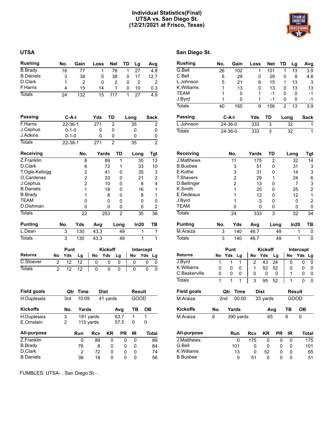#### **Individual Statistics(Final) UTSA vs. San Diego St. (12/21/2021 at Frisco, Texas)**

| <b>UTSA</b> | San Diego St. |
|-------------|---------------|

| <b>Rushing</b>              |                | No.                        | Gain           | Loss           |             | Net            | TD             | Lg             |                | Avg            |
|-----------------------------|----------------|----------------------------|----------------|----------------|-------------|----------------|----------------|----------------|----------------|----------------|
| <b>B.Brady</b>              |                | 16                         | 77             |                | 1           | 76             | 1              | 27             |                | 4.8            |
| <b>B.Daniels</b>            |                | 3                          | 38             |                | 0           | 38             | 0              | 17             |                | 12.7           |
| D.Clark                     |                | 1                          | $\overline{2}$ |                | 0           | $\overline{2}$ | 0              |                | $\overline{2}$ | 2              |
| <b>F.Harris</b>             |                | 4                          | 15             |                | 14          | 1              | 0              | 10             |                | 0.3            |
| <b>Totals</b>               |                | 24                         | 132            |                | 15          | 117            | 1              | 27             |                | 4.9            |
| Passing                     |                | $C-A-I$                    |                | Yds            |             | TD             |                | Long           |                | Sack           |
| <b>F.Harris</b>             |                | $22 - 36 - 1$              |                | 271            |             | $\overline{2}$ |                | 35             |                | 2              |
| J.Cephus<br><b>J.Adkins</b> |                | $0 - 1 - 0$<br>$0 - 1 - 0$ |                |                | 0<br>0      | 0<br>0         |                | 0<br>0         |                | 0<br>0         |
| <b>Totals</b>               |                | $22 - 38 - 1$              |                | 271            |             | $\overline{2}$ |                | 35             |                | $\overline{2}$ |
| <b>Receiving</b>            |                |                            | No.            |                | Yards       | TD             |                | Long           |                | Tgt            |
| Z.Franklin                  |                |                            | 8              |                | 89          |                | 1              |                | 35             | 13             |
| D.Clark                     |                |                            | 6              |                | 72          |                | 1              |                | 33             | 10             |
| T.Ogle-Kellogg              |                |                            | 2              |                | 41          |                | 0              |                | 35             | 3              |
| O.Cardenas                  |                |                            | $\overline{2}$ |                | 33          |                | 0              |                | 21             | $\overline{2}$ |
| J.Cephus                    |                |                            | $\overline{2}$ |                | 10          |                | 0              |                | 8              | 4              |
| <b>B.Daniels</b>            |                |                            | $\overline{1}$ |                | 18          |                | 0              |                | 16             | $\mathbf{1}$   |
| <b>B.Brady</b>              |                |                            | $\mathbf{1}$   |                | 8           |                | 0              |                | 8              | 1              |
| <b>TEAM</b>                 |                |                            | 0              |                | $\Omega$    |                | 0              |                | 0              | 0              |
| D.Dishman                   |                |                            | 0              |                | 0           |                | 0              |                | 0              | $\overline{c}$ |
| <b>Totals</b>               |                |                            | 22             |                | 253         |                | $\overline{2}$ |                | 35             | 36             |
| <b>Punting</b>              |                | No.                        | Yds            | Avg            |             | Long           |                |                | In20           | ΤВ             |
| L.Dean                      |                | 3                          | 130            | 43.3           |             |                | 49             |                | 1              | 1              |
| <b>Totals</b>               |                | $\overline{3}$             | 130            | 43.3           |             |                | 49             |                | $\overline{1}$ | $\overline{1}$ |
|                             |                | Punt                       |                |                | Kickoff     |                |                |                | Intercept      |                |
| <b>Returns</b>              | No             | Yds                        | Lg             | No             | Yds         | Lg             |                | No             | Yds            | Lg             |
| C.Stoever                   | $\overline{2}$ | 12                         | 12             | 0              | 0           | 0              |                | 0              | 0              | 0              |
| <b>Totals</b>               | $\overline{2}$ | 12                         | 12             | $\overline{0}$ | 0           | 0              |                | $\overline{0}$ | 0              | 0              |
| <b>Field goals</b>          |                | Qtr                        | <b>Time</b>    |                | <b>Dist</b> |                |                |                | <b>Result</b>  |                |

| H.Duplessis      | 3rd | 10:09      |           | 41 yards |           | GOOD |       |
|------------------|-----|------------|-----------|----------|-----------|------|-------|
| <b>Kickoffs</b>  | No. | Yards      |           |          | Avg       | тв   | OВ    |
| H.Duplessis      | 3   |            | 191 yards |          | 63.7      | 1    | 1     |
| E.Ornstein       | 2   |            | 115 yards |          | 57.5      | 0    | 0     |
| All-purpose      |     | <b>Run</b> | Rcv       | ΚR       | <b>PR</b> | ΙR   | Total |
| Z.Franklin       |     | 0          | 89        | 0        | 0         | 0    | 89    |
| <b>B.Brady</b>   |     | 76         | 8         | 0        | 0         | 0    | 84    |
| D.Clark          |     | 2          | 72        | 0        | 0         | 0    | 74    |
| <b>B.Daniels</b> |     | 38         | 18        | 0        | 0         | 0    | 56    |

| σαιι υισγυ σι. |     |               |      |            |      |    |             |
|----------------|-----|---------------|------|------------|------|----|-------------|
| Rushing        | No. | Gain          | Loss | <b>Net</b> | TD   | Lq | Avg         |
| G.Bell         | 26  | 102           | 1    | 101        | 1    | 13 | 3.9         |
| C.Bell         | 6   | 29            | 0    | 29         | 0    | 8  | 4.8         |
| L.Johnson      | 5   | 21            | 6    | 15         | 1    | 13 | 3           |
| K.Williams     | 1   | 13            | 0    | 13         | 0    | 13 | 13          |
| TEAM           | 1   | 0             | 1    | -1         | 0    | 0  | $-1$        |
| J.Byrd         | 1   | 0             | 1    | -1         | 0    | 0  | -1          |
| Totals         | 40  | 165           | 9    | 156        | 2    | 13 | 3.9         |
| Passing        |     | C-A-I         | Yds  | TD         | Long |    | <b>Sack</b> |
| L.Johnson      |     | $24 - 36 - 0$ | 333  | 3          |      | 32 | 1           |

Totals 24-36-0 333 3 32 1

| Receiving        |     | No. | Yards | TD             | Long | Tgt |
|------------------|-----|-----|-------|----------------|------|-----|
| J.Matthews       |     | 11  | 175   | $\overline{2}$ | 32   | 14  |
| <b>B.Busbee</b>  |     | 3   | 51    | 0              | 31   | 3   |
| E.Kothe          |     | 3   | 31    | 0              | 14   | 3   |
| <b>T.Shavers</b> |     | 2   | 29    | 1              | 24   | 6   |
| D.Bellinger      |     | 2   | 13    | 0              | 7    | 3   |
| K.Smith          |     |     | 25    | 0              | 25   | 2   |
| E.Dedeaux        |     |     | 12    | 0              | 12   | 1   |
| J.Byrd           |     |     | -3    | 0              | ი    | 2   |
| <b>TEAM</b>      |     | 0   | O     | 0              | 0    | 0   |
| <b>Totals</b>    |     | 24  | 333   | 3              | 32   | 34  |
| <b>Punting</b>   | No. | Yds | Avg   | Long           | In20 | TB  |
| M.Araiza         | 3   | 140 | 46.7  | 49             | 1    | 0   |
| Totals           | 3   | 140 | 46.7  | 49             | 1    | 0   |

|                 |     | Punt |             |            | Kickoff  |     | Intercept |            |       |  |
|-----------------|-----|------|-------------|------------|----------|-----|-----------|------------|-------|--|
| <b>Returns</b>  | No  | Yds  | Lg          | No         | Yds      | Lg  | No        | <b>Yds</b> | Lg    |  |
| J.Byrd          | 1   | 1    | 1           | 2          | 43       | 24  | 0         | 0          | 0     |  |
| K. Williams     | 0   | 0    | 0           | 1          | 52       | 52  | 0         | 0          | 0     |  |
| C.Baskerville   | 0   | 0    | 0           | 0          | 0        | 0   | 1         | 0          | 0     |  |
| Totals          | 1   | 1    | 1           | 3          | 95       | 52  | 1         | 0          | 0     |  |
| Field goals     |     | Qtr  | <b>Time</b> |            | Dist     |     |           | Result     |       |  |
| M.Araiza        |     | 2nd  | 00:00       |            | 33 yards |     |           | GOOD       |       |  |
| <b>Kickoffs</b> | No. |      | Yards       |            |          | Avg | ΤВ        | OВ         |       |  |
| M.Araiza        | 6   |      | 390 vards   |            |          | 65  | 6         | 0          |       |  |
| All-purpose     |     |      | Run         | <b>Rcv</b> | ΚR       | PR  | ΙR        |            | Total |  |
| J.Matthews      |     |      | 0           | 175        | 0        | 0   | 0         |            | 175   |  |
| G.Bell          |     |      | 101         | 0          | 0        | 0   | 0         |            | 101   |  |
| K.Williams      |     |      | 13          | 0          | 52       | 0   | 0         |            | 65    |  |
| <b>B.Busbee</b> |     |      | 0           | 51         | 0        | 0   | 0         |            | 51    |  |

FUMBLES: UTSA- . San Diego St.- .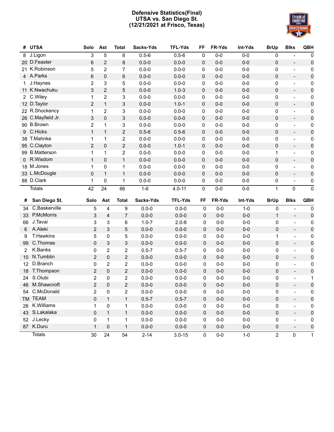#### **Defensive Statistics(Final) UTSA vs. San Diego St. (12/21/2021 at Frisco, Texas)**



| #                    | <b>UTSA</b>                | Solo           | Ast            | <b>Total</b>   | Sacks-Yds | <b>TFL-Yds</b> | FF          | FR-Yds  | Int-Yds | <b>BrUp</b>  | <b>Blks</b>              | QBH         |
|----------------------|----------------------------|----------------|----------------|----------------|-----------|----------------|-------------|---------|---------|--------------|--------------------------|-------------|
| 8                    | J.Ligon                    | 3              | 5              | 8              | $0.5 - 6$ | $0.5 - 6$      | $\pmb{0}$   | $0-0$   | $0-0$   | 0            | $\overline{\phantom{a}}$ | 0           |
|                      | 20 D.Feaster               | 6              | 2              | 8              | $0.0 - 0$ | $0.0 - 0$      | 0           | $0-0$   | $0-0$   | 0            | $\overline{\phantom{a}}$ | $\pmb{0}$   |
|                      | 21 K.Robinson              | 5              | $\overline{2}$ | 7              | $0.0 - 0$ | $0.0 - 0$      | 0           | $0-0$   | $0-0$   | 0            | $\overline{\phantom{a}}$ | 0           |
|                      | 4 A.Parks                  | 6              | 0              | 6              | $0.0 - 0$ | $0.0 - 0$      | 0           | $0-0$   | $0-0$   | 0            | $\overline{\phantom{a}}$ | 0           |
| 1                    | J.Haynes                   | $\overline{2}$ | 3              | 5              | $0.0 - 0$ | $0.0 - 0$      | 0           | $0-0$   | $0-0$   | 0            | $\frac{1}{2}$            | 0           |
| 11                   | K.Nwachuku                 | 3              | 2              | 5              | $0.0 - 0$ | $1.0 - 3$      | 0           | $0-0$   | $0-0$   | 0            | $\overline{\phantom{a}}$ | 0           |
| $\mathbf{2}^{\circ}$ | C.Wiley                    | 1              | $\overline{2}$ | 3              | $0.0 - 0$ | $0.0 - 0$      | 0           | $0-0$   | $0-0$   | 0            | $\overline{a}$           | 0           |
| 12 <sup>2</sup>      | D.Taylor                   | 2              | $\mathbf{1}$   | 3              | $0.0 - 0$ | $1.0 - 1$      | 0           | $0-0$   | $0-0$   | 0            | $\blacksquare$           | 0           |
| 22.                  | R.Shockency                | $\mathbf 1$    | 2              | 3              | $0.0 - 0$ | $0.0 - 0$      | 0           | $0-0$   | $0-0$   | 0            | $\overline{\phantom{a}}$ | 0           |
| 26                   | C.Mayfield Jr.             | 3              | 0              | 3              | $0.0 - 0$ | $0.0 - 0$      | 0           | $0-0$   | $0-0$   | 0            | $\overline{\phantom{a}}$ | 0           |
|                      | 90 B.Brown                 | 2              | $\mathbf{1}$   | 3              | $0.0 - 0$ | $0.0 - 0$      | 0           | $0-0$   | $0-0$   | 0            | $\overline{\phantom{a}}$ | 0           |
| 9                    | C.Hicks                    | $\mathbf{1}$   | $\mathbf{1}$   | $\overline{c}$ | $0.5 - 6$ | $0.5 - 6$      | 0           | $0-0$   | $0-0$   | 0            | $\overline{\phantom{a}}$ | 0           |
| 38                   | T.Mahnke                   | 1              | 1              | 2              | $0.0 - 0$ | $0.0 - 0$      | 0           | $0-0$   | $0-0$   | 0            | $\blacksquare$           | 0           |
| 95                   | C.Clayton                  | $\overline{c}$ | 0              | $\mathbf 2$    | $0.0 - 0$ | $1.0 - 1$      | 0           | $0-0$   | $0-0$   | 0            | $\overline{\phantom{a}}$ | $\pmb{0}$   |
| 99                   | <b>B.Matterson</b>         | $\mathbf{1}$   | 1              | 2              | $0.0 - 0$ | $0.0 - 0$      | 0           | $0-0$   | $0-0$   | 1            | $\blacksquare$           | 0           |
| 0                    | R.Wisdom                   | $\mathbf{1}$   | 0              | $\mathbf{1}$   | $0.0 - 0$ | $0.0 - 0$      | 0           | $0-0$   | $0-0$   | 0            | $\overline{a}$           | 0           |
|                      | 18 M.Jones                 | 1              | 0              | 1              | $0.0 - 0$ | $0.0 - 0$      | 0           | $0-0$   | $0-0$   | 0            | $\overline{\phantom{a}}$ | 0           |
|                      | 33 L.McDougle              | 0              | $\mathbf{1}$   | $\mathbf{1}$   | $0.0 - 0$ | $0.0 - 0$      | 0           | $0-0$   | $0-0$   | 0            | $\overline{\phantom{a}}$ | 0           |
|                      | 88 D.Clark                 | 1              | 0              | 1              | $0.0 - 0$ | $0.0 - 0$      | 0           | $0-0$   | $0-0$   | 0            | $\overline{\phantom{a}}$ | 0           |
|                      | <b>Totals</b>              | 42             | 24             | 66             | $1-6$     | $4.0 - 11$     | 0           | $0-0$   | $0-0$   | 1            | 0                        | $\mathbf 0$ |
|                      |                            |                |                |                |           |                |             |         |         |              |                          |             |
|                      |                            |                |                |                |           |                |             |         |         |              |                          |             |
| #                    | San Diego St.              | Solo           | Ast            | <b>Total</b>   | Sacks-Yds | <b>TFL-Yds</b> | FF          | FR-Yds  | Int-Yds | <b>BrUp</b>  | <b>Blks</b>              | <b>QBH</b>  |
| 34                   | C.Baskerville              | 5              | 4              | 9              | $0.0 - 0$ | $0.0 - 0$      | 0           | $0 - 0$ | $1 - 0$ | 0            | $\overline{a}$           | 0           |
| 33                   | P.McMorris                 | 3              | $\overline{4}$ | $\overline{7}$ | $0.0 - 0$ | $0.0 - 0$      | 0           | $0 - 0$ | $0-0$   | $\mathbf{1}$ | $\overline{a}$           | $\pmb{0}$   |
| 66                   | J.Tavai                    | 3              | 3              | 6              | $1.0 - 7$ | $2.0 - 8$      | 0           | $0-0$   | $0-0$   | 0            | $\overline{a}$           | 0           |
| 6                    | A.Aleki                    | $\overline{2}$ | 3              | 5              | $0.0 - 0$ | $0.0 - 0$      | 0           | $0 - 0$ | $0-0$   | 0            | $\overline{\phantom{0}}$ | 0           |
| 9                    | T.Hawkins                  | 5              | 0              | 5              | $0.0 - 0$ | $0.0 - 0$      | 0           | $0-0$   | $0-0$   | 1            | $\overline{a}$           | 0           |
| 99                   | C.Thomas                   | 0              | 3              | 3              | $0.0 - 0$ | $0.0 - 0$      | 0           | $0 - 0$ | $0-0$   | 0            | $\overline{a}$           | 0           |
| 2                    | K.Banks                    | 0              | $\overline{2}$ | $\overline{2}$ | $0.5 - 7$ | $0.5 - 7$      | 0           | $0 - 0$ | $0-0$   | 0            | $\overline{a}$           | 0           |
| 10                   | N.Tumblin                  | $\overline{2}$ | 0              | 2              | $0.0 - 0$ | $0.0 - 0$      | 0           | $0 - 0$ | $0-0$   | 0            | $\blacksquare$           | $\pmb{0}$   |
| 12                   | D.Branch                   | 0              | $\overline{2}$ | $\overline{2}$ | $0.0 - 0$ | $0.0 - 0$      | 0           | $0 - 0$ | $0-0$   | 0            | $\overline{a}$           | 0           |
| 18                   | T.Thompson                 | $\overline{2}$ | 0              | 2              | $0.0 - 0$ | $0.0 - 0$      | $\mathbf 0$ | $0 - 0$ | $0-0$   | 0            | $\overline{a}$           | $\pmb{0}$   |
| 24                   | S.Olubi                    | $\overline{2}$ | 0              | 2              | $0.0 - 0$ | $0.0 - 0$      | 0           | $0-0$   | $0-0$   | 0            | $\overline{a}$           | 1           |
| 46                   | M.Shawcroft                | $\overline{2}$ | 0              | $\overline{2}$ | $0.0 - 0$ | $0.0 - 0$      | $\mathbf 0$ | $0-0$   | $0-0$   | 0            |                          | $\pmb{0}$   |
|                      | 54 C.McDonald              | 2              | 0              | 2              | $0.0 - 0$ | $0.0 - 0$      | 0           | 0-0     | $0-0$   | 0            |                          | 0           |
|                      | TM TEAM                    | 0              | $\mathbf{1}$   | $\mathbf{1}$   | $0.5 - 7$ | $0.5 - 7$      | $\mathbf 0$ | $0 - 0$ | $0-0$   | 0            | $\overline{\phantom{0}}$ | 0           |
|                      | 26 K.Williams              | 1              | 0              | 1              | $0.0 - 0$ | $0.0 - 0$      | 0           | $0-0$   | $0-0$   | 0            | $\frac{1}{2}$            | 0           |
|                      | 43 S.Lakalaka              | 0              | $\mathbf{1}$   | $\mathbf{1}$   | $0.0 - 0$ | $0.0 - 0$      | $\pmb{0}$   | $0 - 0$ | $0-0$   | 0            | $\blacksquare$           | 0           |
|                      | 52 J.Lecky                 | 0              | 1              | $\mathbf{1}$   | $0.0 - 0$ | $0.0 - 0$      | 0           | $0-0$   | $0-0$   | 0            | $\overline{a}$           | 0           |
|                      | 87 K.Duru<br><b>Totals</b> | $\mathbf{1}$   | 0<br>24        | $\mathbf{1}$   | $0.0 - 0$ | $0.0 - 0$      | $\pmb{0}$   | $0 - 0$ | $0-0$   | 0            |                          | $\pmb{0}$   |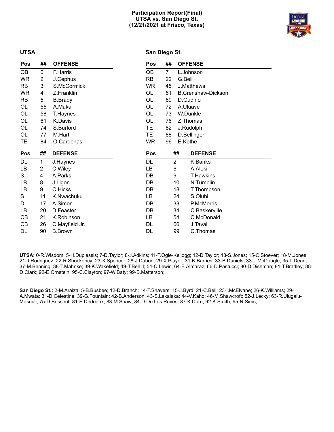#### **Participation Report(Final) UTSA vs. San Diego St. (12/21/2021 at Frisco, Texas)**



#### **UTSA**

#### **San Diego St.**

| <b>Pos</b> | ##          | <b>OFFENSE</b> | Pos        | ##             |         | <b>OFFENSE</b>            |
|------------|-------------|----------------|------------|----------------|---------|---------------------------|
| QB         | 0           | F.Harris       | QB         | $\overline{7}$ |         | L.Johnson                 |
| <b>WR</b>  | 2           | J.Cephus       | <b>RB</b>  | 22             | G.Bell  |                           |
| RB         | 3           | S.McCormick    | <b>WR</b>  | 45             |         | J.Matthews                |
| <b>WR</b>  | 4           | Z.Franklin     | OL         | 61             |         | <b>B.Crenshaw-Dickson</b> |
| RB         | 5           | <b>B.Brady</b> | OL         | 69             |         | D.Gudino                  |
| OL         | 55          | A.Maka         | OL         | 72             |         | A.Uluave                  |
| OL         | 58          | T.Haynes       | OL         | 73             |         | W.Dunkle                  |
| OL         | 61          | K.Davis        | OL         | 76             |         | Z.Thomas                  |
| OL         | 74          | S.Burford      | TЕ         | 82             |         | J.Rudolph                 |
| OL         | 77          | M.Hart         | TE.        | 88             |         | D.Bellinger               |
| TЕ         | 84          | O.Cardenas     | <b>WR</b>  | 96             | E.Kothe |                           |
|            |             |                |            |                |         |                           |
| Pos        | ##          | <b>DEFENSE</b> | <b>Pos</b> |                | ##      | <b>DEFENSE</b>            |
| DL         | $\mathbf 1$ | J.Haynes       | DL         | $\overline{2}$ |         | K.Banks                   |
| LВ         | 2           | C.Wiley        | LB         | 6              |         | A.Aleki                   |
| S          | 4           | A.Parks        | DB         | 9              |         | <b>T.Hawkins</b>          |
| LВ         | 8           | J.Ligon        | DB         |                | 10      | N.Tumblin                 |
| LB         | 9           | C.Hicks        | DB         |                | 18      | T.Thompson                |
| S          | 11          | K.Nwachuku     | LB         |                | 24      | S.Olubi                   |
| DL         | 17          | A.Simon        | DB         |                | 33      | P.McMorris                |
| LB         | 20          | D.Feaster      | DB         |                | 34      | C.Baskerville             |
| CВ         | 21          | K.Robinson     | LB         |                | 54      | C.McDonald                |
| CВ         | 26          | C.Mayfield Jr. | DL         |                | 66      | J.Tavai                   |
| DL         | 90          | <b>B.Brown</b> | DL         |                | 99      | C.Thomas                  |

**UTSA:** 0-R.Wisdom; 5-H.Duplessis; 7-D.Taylor; 8-J.Adkins; 11-T.Ogle-Kellogg; 12-D.Taylor; 13-S.Jones; 15-C.Stoever; 18-M.Jones; 21-J.Rodriguez; 22-R.Shockency; 23-X.Spencer; 28-J.Dabon; 29-X.Player; 31-K.Barnes; 33-B.Daniels; 33-L.McDougle; 35-L.Dean; 37-M.Benning; 38-T.Mahnke; 39-K.Wakefield; 49-T.Bell II; 54-C.Lewis; 64-E.Almaraz; 66-D.Pastucci; 80-D.Dishman; 81-T.Bradley; 88- D.Clark; 92-E.Ornstein; 95-C.Clayton; 97-W.Baty; 99-B.Matterson;

**San Diego St.:** 2-M.Araiza; 5-B.Busbee; 12-D.Branch; 14-T.Shavers; 15-J.Byrd; 21-C.Bell; 23-I.McElvane; 26-K.Williams; 29- A.Mwata; 31-D.Celestine; 39-G.Fountain; 42-B.Anderson; 43-S.Lakalaka; 44-V.Kaho; 46-M.Shawcroft; 52-J.Lecky; 63-R.Ulugalu-Maseuli; 75-D.Bessent; 81-E.Dedeaux; 83-M.Shaw; 84-D.De Los Reyes; 87-K.Duru; 92-K.Smith; 95-N.Sims;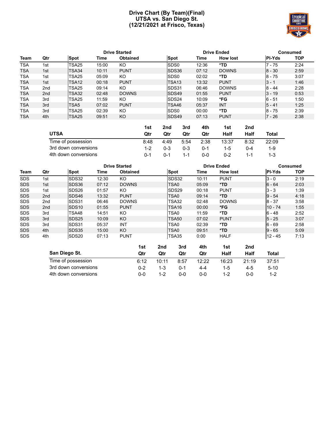#### **Drive Chart (By Team)(Final) UTSA vs. San Diego St. (12/21/2021 at Frisco, Texas)**



|             |                 |                   |       | <b>Drive Started</b> |                   | <b>Drive Ended</b> | Consumed        |               |            |
|-------------|-----------------|-------------------|-------|----------------------|-------------------|--------------------|-----------------|---------------|------------|
| <b>Team</b> | Qtr             | <b>Spot</b>       | Time  | <b>Obtained</b>      | Spot              | Time               | <b>How lost</b> | <b>PI-Yds</b> | <b>TOP</b> |
| <b>TSA</b>  | 1st             | TSA25             | 15:00 | KO                   | SD <sub>S0</sub>  | 12:36              | *TD             | $7 - 75$      | 2:24       |
| <b>TSA</b>  | 1st             | <b>TSA34</b>      | 10:11 | <b>PUNT</b>          | <b>ISDS36</b>     | 07:12              | <b>DOWNS</b>    | $8 - 30$      | 2:59       |
| TSA         | 1st             | TSA25             | 05:09 | KO                   | SD <sub>S0</sub>  | 02:02              | *TD             | $8 - 75$      | 3:07       |
| <b>TSA</b>  | 1st             | TSA <sub>12</sub> | 00:18 | <b>PUNT</b>          | TSA <sub>13</sub> | 13:32              | <b>PUNT</b>     | $13 - 1$      | 1:46       |
| TSA         | 2nd             | TSA25             | 09:14 | KO                   | SDS31             | 06:46              | <b>DOWNS</b>    | $8 - 44$      | 2:28       |
| <b>TSA</b>  | 2 <sub>nd</sub> | TSA32             | 02:48 | <b>DOWNS</b>         | <b>ISDS49</b>     | 01:55              | <b>PUNT</b>     | $3 - 19$      | 0:53       |
| TSA         | 3rd             | TSA <sub>25</sub> | 11:59 | KO                   | SDS24             | 10:09              | *FG             | $6 - 51$      | 1:50       |
| <b>TSA</b>  | 3rd             | TSA <sub>5</sub>  | 07:02 | <b>PUNT</b>          | TSA46             | 05:37              | <b>INT</b>      | $15 - 41$     | 1:25       |
| <b>TSA</b>  | 3rd             | TSA25             | 02:39 | KO                   | SD <sub>S0</sub>  | 00:00              | *TD             | $8 - 75$      | 2:39       |
| TSA         | 4th             | TSA <sub>25</sub> | 09:51 | KO                   | SDS49             | 07:13              | <b>PUNT</b>     | $7 - 26$      | 2:38       |

|                      | 1st     | 2nd     | 3rd     | 4th     | 1st     | 2nd  |         |
|----------------------|---------|---------|---------|---------|---------|------|---------|
| <b>UTSA</b>          | Qtr     | Qtr     | Qtr     | Qtr     | Half    | Half | Total   |
| Time of possession   | 8:48    | 4:49    | 5:54    | 2:38    | 13:37   | 8:32 | 22:09   |
| 3rd down conversions | $1 - 2$ | $0 - 3$ | $0 - 3$ | $0 - 1$ | $1 - 5$ | 0-4  | $1 - 9$ |
| 4th down conversions | በ-1     | $0 - 1$ | $1 - 1$ | $0 - 0$ | $0 - 2$ |      | 1-3     |

| <b>Drive Started</b> |     |                   |             |                 |     |     | <b>Drive Ended</b> |       | <b>Consumed</b> |     |               |            |
|----------------------|-----|-------------------|-------------|-----------------|-----|-----|--------------------|-------|-----------------|-----|---------------|------------|
| Team                 | Qtr | <b>Spot</b>       | <b>Time</b> | <b>Obtained</b> |     |     | Spot               | Time  | <b>How lost</b> |     | <b>PI-Yds</b> | <b>TOP</b> |
| <b>SDS</b>           | 1st | SDS32             | 12:30       | KO              |     |     | SDS32              | 10:11 | <b>PUNT</b>     |     | $3 - 0$       | 2:19       |
| <b>SDS</b>           | 1st | SDS36             | 07:12       | <b>DOWNS</b>    |     |     | TSA0               | 05:09 | *TD             |     | $6 - 64$      | 2:03       |
| <b>SDS</b>           | 1st | SDS26             | 01:57       | KO.             |     |     | SDS29              | 00:18 | <b>PUNT</b>     |     | $3 - 3$       | 1:39       |
| <b>SDS</b>           | 2nd | SDS46             | 13:32       | <b>PUNT</b>     |     |     | TSA0               | 09:14 | $*TD$           |     | $9 - 54$      | 4:18       |
| <b>SDS</b>           | 2nd | SDS31             | 06:46       | <b>DOWNS</b>    |     |     | TSA32              | 02:48 | <b>DOWNS</b>    |     | $8 - 37$      | 3:58       |
| <b>SDS</b>           | 2nd | SDS <sub>10</sub> | 01:55       | <b>PUNT</b>     |     |     | TSA <sub>16</sub>  | 00:00 | *FG.            |     | $10 - 74$     | 1:55       |
| <b>SDS</b>           | 3rd | TSA48             | 14:51       | KO              |     |     | TSA0               | 11:59 | *TD             |     | $6 - 48$      | 2:52       |
| <b>SDS</b>           | 3rd | SDS <sub>25</sub> | 10:09       | KO              |     |     | TSA50              | 07:02 | <b>PUNT</b>     |     | $5 - 25$      | 3:07       |
| <b>SDS</b>           | 3rd | SDS31             | 05:37       | INT             |     |     | TSA0               | 02:39 | *TD             |     | $6 - 69$      | 2:58       |
| <b>SDS</b>           | 4th | SDS35             | 15:00       | KO.             |     |     | TSA0               | 09:51 | *TD             |     | $9 - 65$      | 5:09       |
| <b>SDS</b>           | 4th | SDS <sub>20</sub> | 07:13       | <b>PUNT</b>     |     |     | TSA35              | 0:00  | <b>HALF</b>     |     | $12 - 45$     | 7:13       |
|                      |     |                   |             |                 | 1st | 2nd | 3rd                | 4th   | 1st             | 2nd |               |            |

| San Diego St.        | Qtr  | Qtr     | Qtr  | Qtr   | Half    | Half  | Total  |
|----------------------|------|---------|------|-------|---------|-------|--------|
| Time of possession   | 6:12 | 10:11   | 8:57 | 12:22 | 16:23   | 21:19 | 37:51  |
| 3rd down conversions | በ-2  | $1 - 3$ | በ-1  | 4-4   | $1 - 5$ | $4-5$ | $5-10$ |
| 4th down conversions | ი-ი  | 1-2     | ი-ი  | ი-ი   | 1-2     | ი-ი   | 1-2    |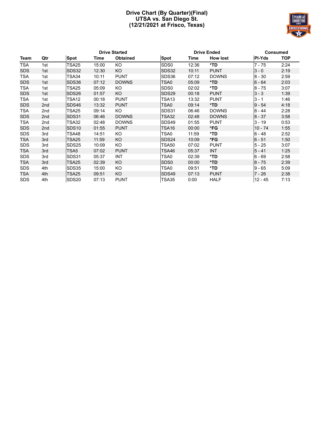#### **Drive Chart (By Quarter)(Final) UTSA vs. San Diego St. (12/21/2021 at Frisco, Texas)**



|            | <b>Drive Started</b> |                   |       |                 |                  | <b>Drive Ended</b> |                 | <b>Consumed</b> |      |  |
|------------|----------------------|-------------------|-------|-----------------|------------------|--------------------|-----------------|-----------------|------|--|
| Team       | Qtr                  | Spot              | Time  | <b>Obtained</b> | <b>Spot</b>      | Time               | <b>How lost</b> | <b>PI-Yds</b>   | TOP  |  |
| <b>TSA</b> | 1st                  | TSA25             | 15:00 | KO              | SD <sub>S0</sub> | 12:36              | *TD             | 7 - 75          | 2:24 |  |
| <b>SDS</b> | 1st                  | SDS32             | 12:30 | <b>KO</b>       | SDS32            | 10:11              | <b>PUNT</b>     | $3 - 0$         | 2:19 |  |
| <b>TSA</b> | 1st                  | TSA34             | 10:11 | <b>PUNT</b>     | SDS36            | 07:12              | <b>DOWNS</b>    | $8 - 30$        | 2:59 |  |
| <b>SDS</b> | 1st                  | SDS36             | 07:12 | <b>DOWNS</b>    | TSA0             | 05:09              | *TD             | $6 - 64$        | 2:03 |  |
| <b>TSA</b> | 1st                  | TSA25             | 05:09 | KO              | SD <sub>S0</sub> | 02:02              | *TD             | $8 - 75$        | 3:07 |  |
| <b>SDS</b> | 1st                  | SDS <sub>26</sub> | 01:57 | KO              | SDS29            | 00:18              | <b>PUNT</b>     | $3 - 3$         | 1:39 |  |
| <b>TSA</b> | 1st                  | TSA12             | 00:18 | <b>PUNT</b>     | TSA13            | 13:32              | <b>PUNT</b>     | $3 - 1$         | 1:46 |  |
| <b>SDS</b> | 2nd                  | SDS46             | 13:32 | <b>PUNT</b>     | TSA0             | 09:14              | *TD             | $9 - 54$        | 4:18 |  |
| <b>TSA</b> | 2nd                  | TSA25             | 09:14 | KO.             | SDS31            | 06:46              | <b>DOWNS</b>    | $8 - 44$        | 2:28 |  |
| <b>SDS</b> | 2nd                  | SDS31             | 06:46 | <b>DOWNS</b>    | TSA32            | 02:48              | <b>DOWNS</b>    | $8 - 37$        | 3:58 |  |
| <b>TSA</b> | 2nd                  | TSA32             | 02:48 | <b>DOWNS</b>    | SDS49            | 01:55              | <b>PUNT</b>     | $3 - 19$        | 0:53 |  |
| <b>SDS</b> | 2nd                  | SDS <sub>10</sub> | 01:55 | <b>PUNT</b>     | TSA16            | 00:00              | *FG             | $10 - 74$       | 1:55 |  |
| <b>SDS</b> | 3rd                  | TSA48             | 14:51 | KO              | TSA0             | 11:59              | *TD             | $6 - 48$        | 2:52 |  |
| <b>TSA</b> | 3rd                  | <b>TSA25</b>      | 11:59 | KO              | <b>SDS24</b>     | 10:09              | *FG             | $6 - 51$        | 1:50 |  |
| <b>SDS</b> | 3rd                  | <b>SDS25</b>      | 10:09 | KO              | TSA50            | 07:02              | <b>PUNT</b>     | $5 - 25$        | 3:07 |  |
| <b>TSA</b> | 3rd                  | TSA5              | 07:02 | <b>PUNT</b>     | TSA46            | 05:37              | <b>INT</b>      | $5 - 41$        | 1:25 |  |
| <b>SDS</b> | 3rd                  | SDS31             | 05:37 | INT             | TSA0             | 02:39              | *TD             | $6 - 69$        | 2:58 |  |
| <b>TSA</b> | 3rd                  | <b>TSA25</b>      | 02:39 | KO              | SD <sub>S0</sub> | 00:00              | *TD             | $8 - 75$        | 2:39 |  |
| <b>SDS</b> | 4th                  | SDS35             | 15:00 | KO.             | TSA0             | 09:51              | *TD             | 9 - 65          | 5:09 |  |
| <b>TSA</b> | 4th                  | TSA25             | 09:51 | KO              | <b>SDS49</b>     | 07:13              | <b>PUNT</b>     | 7 - 26          | 2:38 |  |
| <b>SDS</b> | 4th                  | SDS20             | 07:13 | <b>PUNT</b>     | TSA35            | 0:00               | <b>HALF</b>     | 12 - 45         | 7:13 |  |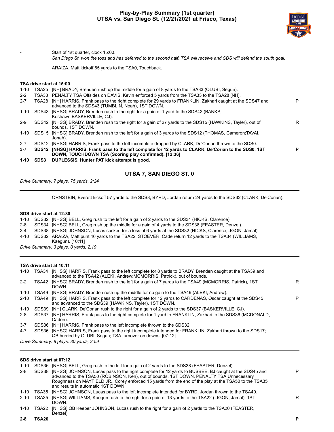#### **Play-by-Play Summary (1st quarter) UTSA vs. San Diego St. (12/21/2021 at Frisco, Texas)**



Start of 1st quarter, clock 15:00.

*San Diego St. won the toss and has deferred to the second half. TSA will receive and SDS will defend the south goal.*

ARAIZA, Matt kickoff 65 yards to the TSA0, Touchback.

#### **TSA drive start at 15:00**

| $1 - 10$ | SDS3              | DUPLESSIS, Hunter PAT kick attempt is good.                                                                                                                 |   |
|----------|-------------------|-------------------------------------------------------------------------------------------------------------------------------------------------------------|---|
| $3 - 7$  | SDS <sub>12</sub> | [NHSG] HARRIS, Frank pass to the left complete for 12 yards to CLARK, De'Corian to the SDS0, 1ST<br>DOWN, TOUCHDOWN TSA (Scoring play confirmed). [12:36]   |   |
| $2 - 7$  | SDS <sub>12</sub> | [NHSG] HARRIS, Frank pass to the left incomplete dropped by CLARK, De'Corian thrown to the SDS0.                                                            |   |
| $1 - 10$ | SDS15             | [NHSG] BRADY, Brenden rush to the left for a gain of 3 yards to the SDS12 (THOMAS, Cameron;TAVAI,<br>Jonah).                                                |   |
| $2-9$    | SDS42             | [NHSG] BRADY, Brenden rush to the right for a gain of 27 yards to the SDS15 (HAWKINS, Tayler), out of<br>bounds. 1ST DOWN.                                  | R |
| 1-10     | SDS43             | [NHSG] BRADY, Brenden rush to the right for a gain of 1 yard to the SDS42 (BANKS,<br>Keshawn; BASKERVILLE, CJ).                                             |   |
| $2 - 7$  | TSA28             | [NH] HARRIS, Frank pass to the right complete for 29 yards to FRANKLIN, Zakhari caught at the SDS47 and<br>advanced to the SDS43 (TUMBLIN, Noah), 1ST DOWN. |   |
| $2 - 2$  | TSA33             | PENALTY TSA Offsides on DAVIS, Kevin enforced 5 yards from the TSA33 to the TSA28 [NH].                                                                     |   |
| 1-10     | TSA25             | [NH] BRADY, Brenden rush up the middle for a gain of 8 yards to the TSA33 (OLUBI, Segun).                                                                   |   |

#### **UTSA 7, SAN DIEGO ST. 0**

*Drive Summary: 7 plays, 75 yards, 2:24*

ORNSTEIN, Everett kickoff 57 yards to the SDS8, BYRD, Jordan return 24 yards to the SDS32 (CLARK, De'Corian).

#### **SDS drive start at 12:30**

| 1-10  | SDS32 [NHSG] BELL, Greg rush to the left for a gain of 2 yards to the SDS34 (HICKS, Clarence).            |
|-------|-----------------------------------------------------------------------------------------------------------|
| 2-8   | SDS34 [NHSG] BELL, Greg rush up the middle for a gain of 4 yards to the SDS38 (FEASTER, Denzel).          |
| $3-4$ | SDS38 [NHSG] JOHNSON, Lucas sacked for a loss of 6 yards at the SDS32 (HICKS, Clarence; LIGON, Jamal).    |
|       | 4-10 SDS32 ARAIZA, Matt punt 46 yards to the TSA22, STOEVER, Cade return 12 yards to the TSA34 (WILLIAMS, |
|       | Kaegun). [10:11]                                                                                          |
|       | Drive Summary: 3 plays, 0 yards, 2:19                                                                     |

#### **TSA drive start at 10:11**

| 1-10     | TSA34 | [NHSG] HARRIS, Frank pass to the left complete for 8 yards to BRADY, Brenden caught at the TSA39 and<br>advanced to the TSA42 (ALEKI, Andrew; MCMORRIS, Patrick), out of bounds. |   |
|----------|-------|----------------------------------------------------------------------------------------------------------------------------------------------------------------------------------|---|
| $2 - 2$  | TSA42 | [NHSG] BRADY, Brenden rush to the left for a gain of 7 yards to the TSA49 (MCMORRIS, Patrick), 1ST<br>DOWN.                                                                      | R |
| 1-10     | TSA49 | [NHSG] BRADY, Brenden rush up the middle for no gain to the TSA49 (ALEKI, Andrew).                                                                                               |   |
| $2 - 10$ | TSA49 | [NHSG] HARRIS, Frank pass to the left complete for 12 yards to CARDENAS, Oscar caught at the SDS45<br>and advanced to the SDS39 (HAWKINS, Tayler), 1ST DOWN.                     | P |
| 1-10     |       | SDS39 [NH] CLARK, De'Corian rush to the right for a gain of 2 yards to the SDS37 (BASKERVILLE, CJ).                                                                              |   |
| 2-8      | SDS37 | [NH] HARRIS, Frank pass to the right complete for 1 yard to FRANKLIN, Zakhari to the SDS36 (MCDONALD,<br>Caden).                                                                 |   |
| $3 - 7$  |       | SDS36 [NH] HARRIS, Frank pass to the left incomplete thrown to the SDS32.                                                                                                        |   |
| $4 - 7$  |       | SDS36 [NHSG] HARRIS, Frank pass to the right incomplete intended for FRANKLIN, Zakhari thrown to the SDS17;<br>QB hurried by OLUBI, Segun; TSA turnover on downs. [07:12]        |   |
|          |       | Drive Summary: 8 plays, 30 yards, 2:59                                                                                                                                           |   |

| 1-10     |        | SDS36 [NHSG] BELL, Greg rush to the left for a gain of 2 yards to the SDS38 (FEASTER, Denzel).                                                                                                                                                                                                                                                      |   |
|----------|--------|-----------------------------------------------------------------------------------------------------------------------------------------------------------------------------------------------------------------------------------------------------------------------------------------------------------------------------------------------------|---|
| $2 - 8$  |        | SDS38 [NHSG] JOHNSON, Lucas pass to the right complete for 12 yards to BUSBEE, BJ caught at the SDS45 and<br>advanced to the TSA50 (ROBINSON, Ken), out of bounds, 1ST DOWN. PENALTY TSA Unnecessary<br>Roughness on MAYFIELD JR., Corey enforced 15 yards from the end of the play at the TSA50 to the TSA35<br>and results in automatic 1ST DOWN. | P |
| 1-10     | TSA35  | [NHSG] JOHNSON, Lucas pass to the left incomplete intended for BYRD, Jordan thrown to the TSA40.                                                                                                                                                                                                                                                    |   |
| $2 - 10$ | TSA35  | [NHSG] WILLIAMS, Kaegun rush to the right for a gain of 13 yards to the TSA22 (LIGON, Jamal), 1ST<br>DOWN.                                                                                                                                                                                                                                          | R |
| 1-10     | TSA22  | [NHSG] QB Keeper JOHNSON, Lucas rush to the right for a gain of 2 yards to the TSA20 (FEASTER,<br>Denzel).                                                                                                                                                                                                                                          |   |
| $2 - 8$  | TSA20. |                                                                                                                                                                                                                                                                                                                                                     | P |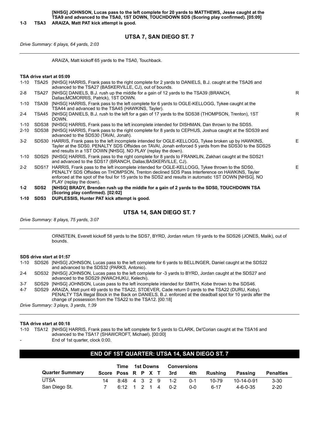**UTSA 7, SAN DIEGO ST. 7**

*Drive Summary: 6 plays, 64 yards, 2:03*

ARAIZA, Matt kickoff 65 yards to the TSA0, Touchback.

|          |                  | TSA drive start at 05:09                                                                                                                                                                                                                                                                                                                 |   |
|----------|------------------|------------------------------------------------------------------------------------------------------------------------------------------------------------------------------------------------------------------------------------------------------------------------------------------------------------------------------------------|---|
|          |                  | 1-10 TSA25 [NHSG] HARRIS, Frank pass to the right complete for 2 yards to DANIELS, B.J. caught at the TSA26 and<br>advanced to the TSA27 (BASKERVILLE, CJ), out of bounds.                                                                                                                                                               |   |
| 2-8      | TSA27            | [NHSG] DANIELS, B.J. rush up the middle for a gain of 12 yards to the TSA39 (BRANCH,<br>Dallas; MCMORRIS, Patrick), 1ST DOWN.                                                                                                                                                                                                            | R |
| 1-10     | TSA39            | [NHSG] HARRIS, Frank pass to the left complete for 6 yards to OGLE-KELLOGG, Tykee caught at the<br>TSA44 and advanced to the TSA45 (HAWKINS, Tayler).                                                                                                                                                                                    |   |
| 2-4      | TSA45            | [NHSG] DANIELS, B.J. rush to the left for a gain of 17 yards to the SDS38 (THOMPSON, Trenton), 1ST<br>DOWN.                                                                                                                                                                                                                              | R |
| 1-10     |                  | SDS38 [NHSG] HARRIS, Frank pass to the left incomplete intended for DISHMAN, Dan thrown to the SDS5.                                                                                                                                                                                                                                     |   |
| 2-10     |                  | SDS38 [NHSG] HARRIS, Frank pass to the right complete for 8 yards to CEPHUS, Joshua caught at the SDS39 and<br>advanced to the SDS30 (TAVAI, Jonah).                                                                                                                                                                                     |   |
| 3-2      |                  | SDS30 HARRIS, Frank pass to the left incomplete intended for OGLE-KELLOGG, Tykee broken up by HAWKINS,<br>Tayler at the SDS0. PENALTY SDS Offsides on TAVAI, Jonah enforced 5 yards from the SDS30 to the SDS25<br>and results in a 1ST DOWN [NHSG]. NO PLAY (replay the down).                                                          | Е |
| $1 - 10$ |                  | SDS25 [NHSG] HARRIS, Frank pass to the right complete for 8 yards to FRANKLIN, Zakhari caught at the SDS21<br>and advanced to the SDS17 (BRANCH, Dallas; BASKERVILLE, CJ).                                                                                                                                                               |   |
| $2-2$    |                  | SDS17 HARRIS, Frank pass to the left incomplete intended for OGLE-KELLOGG, Tykee thrown to the SDS0.<br>PENALTY SDS Offsides on THOMPSON, Trenton declined SDS Pass Interference on HAWKINS, Tayler<br>enforced at the spot of the foul for 15 yards to the SDS2 and results in automatic 1ST DOWN [NHSG]. NO<br>PLAY (replay the down). | E |
| 1-2      | SDS <sub>2</sub> | [NHSG] BRADY, Brenden rush up the middle for a gain of 2 yards to the SDS0, TOUCHDOWN TSA<br>(Scoring play confirmed). [02:02]                                                                                                                                                                                                           |   |
|          |                  |                                                                                                                                                                                                                                                                                                                                          |   |

**1-10 SDS3 DUPLESSIS, Hunter PAT kick attempt is good.**

#### **UTSA 14, SAN DIEGO ST. 7**

*Drive Summary: 8 plays, 75 yards, 3:07*

ORNSTEIN, Everett kickoff 58 yards to the SDS7, BYRD, Jordan return 19 yards to the SDS26 (JONES, Malik), out of bounds.

#### **SDS drive start at 01:57**

- 1-10 SDS26 [NHSG] JOHNSON, Lucas pass to the left complete for 6 yards to BELLINGER, Daniel caught at the SDS22 and advanced to the SDS32 (PARKS, Antonio).
- 2-4 SDS32 [NHSG] JOHNSON, Lucas pass to the left complete for -3 yards to BYRD, Jordan caught at the SDS27 and advanced to the SDS29 (NWACHUKU, Kelechi).
- 3-7 SDS29 [NHSG] JOHNSON, Lucas pass to the left incomplete intended for SMITH, Kobe thrown to the SDS46.
- 4-7 SDS29 ARAIZA, Matt punt 49 yards to the TSA22, STOEVER, Cade return 0 yards to the TSA22 (DURU, Koby). PENALTY TSA Illegal Block in the Back on DANIELS, B.J. enforced at the deadball spot for 10 yards after the change of possession from the TSA22 to the TSA12. [00:18]

*Drive Summary: 3 plays, 3 yards, 1:39*

#### **TSA drive start at 00:18**

- 1-10 TSA12 [NHSG] HARRIS, Frank pass to the left complete for 5 yards to CLARK, De'Corian caught at the TSA16 and advanced to the TSA17 (SHAWCROFT, Michael). [00:00]
- End of 1st quarter, clock 0:00.

#### **END OF 1ST QUARTER: UTSA 14, SAN DIEGO ST. 7**

|                        |                    |              | Time 1st Downs |  | <b>Conversions</b> |         |         |         |                  |                  |
|------------------------|--------------------|--------------|----------------|--|--------------------|---------|---------|---------|------------------|------------------|
| <b>Quarter Summary</b> | Score Poss R P X T |              |                |  |                    | 3rd     | 4th     | Rushina | Passing          | <b>Penalties</b> |
| <b>UTSA</b>            |                    | 8:48 4 3 2 9 |                |  |                    | $1-2$   | በ-1     | $10-79$ | $10-14-0-91$     | $3 - 30$         |
| San Diego St.          |                    | 6:12 1 2 1 4 |                |  |                    | $0 - 2$ | $0 - 0$ | հ-17    | $4 - 6 - 0 - 35$ | $2 - 20$         |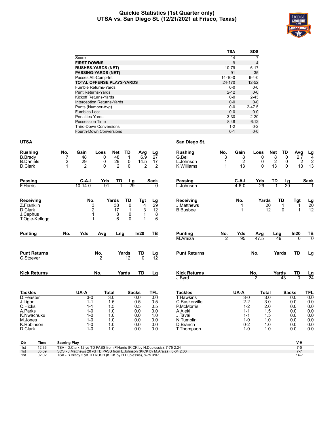#### **Quickie Statistics (1st Quarter only) UTSA vs. San Diego St. (12/21/2021 at Frisco, Texas)**



|                                  | <b>TSA</b>    | <b>SDS</b>     |
|----------------------------------|---------------|----------------|
| Score                            | 14            | $\overline{7}$ |
| <b>FIRST DOWNS</b>               | 9             | $\overline{4}$ |
| <b>RUSHES-YARDS (NET)</b>        | 10-79         | $6 - 17$       |
| <b>PASSING-YARDS (NET)</b>       | 91            | 35             |
| Passes Att-Comp-Int              | $14 - 10 - 0$ | $6 - 4 - 0$    |
| <b>TOTAL OFFENSE PLAYS-YARDS</b> | 24-170        | $12 - 52$      |
| <b>Fumble Returns-Yards</b>      | $0 - 0$       | $0-0$          |
| <b>Punt Returns-Yards</b>        | $2 - 12$      | $0 - 0$        |
| <b>Kickoff Returns-Yards</b>     | $0 - 0$       | $2 - 43$       |
| Interception Returns-Yards       | $0 - 0$       | $0-0$          |
| Punts (Number-Avg)               | $0 - 0$       | $2 - 47.5$     |
| Fumbles-Lost                     | $0 - 0$       | $0-0$          |
| Penalties-Yards                  | $3 - 30$      | $2 - 20$       |
| <b>Possession Time</b>           | 8:48          | 6:12           |
| <b>Third-Down Conversions</b>    | $1 - 2$       | $0 - 2$        |
| Fourth-Down Conversions          | $0 - 1$       | $0 - 0$        |

#### **UTSA San Diego St.**

| <b>Rushing</b>              | No.          | Gain                 | Loss           | <b>Net</b>                             | TD                     | Avg            | Lg                     | <b>Rushing</b>           | No.    | Gain                 | Loss           | <b>Net</b> | TD              | Avg                  | <u>Lg</u>              |
|-----------------------------|--------------|----------------------|----------------|----------------------------------------|------------------------|----------------|------------------------|--------------------------|--------|----------------------|----------------|------------|-----------------|----------------------|------------------------|
| <b>B.Brady</b>              |              | 48                   | 0              | 48                                     | 1                      | 6.9            | $\overline{27}$        | G.Bell                   | 3      | 8                    | 0              | 8          | 0               | $\overline{2.7}$     | $\overline{4}$         |
| <b>B.Daniels</b><br>D.Clark | 2            | 29<br>$\overline{2}$ | 0<br>$\Omega$  | 29<br>$\overline{2}$                   | 0<br>$\Omega$          | 14.5<br>2      | 17<br>$\overline{2}$   | L.Johnson<br>K. Williams | 1<br>1 | $\overline{c}$<br>13 | 0<br>$\Omega$  | 2<br>13    | 0<br>$\Omega$   | $\overline{2}$<br>13 | $\overline{2}$<br>13   |
|                             |              |                      |                |                                        |                        |                |                        |                          |        |                      |                |            |                 |                      |                        |
| Passing                     |              | $C-A-I$              | Yds            | TD                                     |                        |                | <b>Sack</b>            | <b>Passing</b>           |        | $C-A-I$              | Yds            | TD         | Lg              |                      | <b>Sack</b>            |
| F.Harris                    |              | $10 - 14 - 0$        | 91             |                                        | $\frac{\text{Lg}}{29}$ |                | <sup>0</sup>           | L.Johnson                |        | $4 - 6 - 0$          | 29             |            | $\overline{20}$ |                      |                        |
| Receiving                   |              | No.                  |                | <b>Yards</b>                           | TD                     | Tgt            | <u>Lg</u>              | Receiving                |        | No.                  | Yards          |            | TD              | Tgt                  | <u>Lg</u>              |
| Z.Franklin                  |              |                      | 3              | 38                                     | 0                      | 4              | $\overline{29}$        | <b>J.Matthews</b>        |        |                      |                | 20         | 1               |                      | $\frac{20}{12}$        |
| D.Clark                     |              |                      | 2              | $\begin{array}{c} 17 \\ 8 \end{array}$ | $\mathbf{1}$           | 3              | 12                     | <b>B.Busbee</b>          |        |                      |                | 12         | $\Omega$        | 1                    |                        |
| J.Cephus                    |              |                      | 1<br>1         | 6                                      | 0<br>$\mathbf{0}$      | 1<br>1         | 8<br>6                 |                          |        |                      |                |            |                 |                      |                        |
| T.Ogle-Kellogg              |              |                      |                |                                        |                        |                |                        |                          |        |                      |                |            |                 |                      |                        |
| <b>Punting</b>              | No.          | Yds                  | Avg            | Lng                                    |                        | In20           | TB                     | <b>Punting</b>           | No.    | Yds                  | Avg            | Lng        |                 | In20                 | <u>ТВ</u>              |
|                             |              |                      |                |                                        |                        |                |                        | M.Araiza                 | 2      | 95                   | 47.5           | 49         |                 | $\Omega$             | $\overline{0}$         |
| <b>Punt Returns</b>         |              |                      | No.            |                                        | Yards                  | TD             |                        | <b>Punt Returns</b>      |        |                      | No.            |            | Yards           | <b>TD</b>            | Lg                     |
| C.Stoever                   |              |                      | $\overline{2}$ |                                        | 12                     | $\overline{0}$ | $\frac{\text{Lg}}{12}$ |                          |        |                      |                |            |                 |                      |                        |
| <b>Kick Returns</b>         |              |                      | No.            |                                        | Yards                  | TD             | Lg                     | <b>Kick Returns</b>      |        |                      | No.            |            | Yards           | TD                   |                        |
|                             |              |                      |                |                                        |                        |                |                        | J.Byrd                   |        |                      | $\overline{2}$ |            | 43              | $\Omega$             | $\frac{\text{Lg}}{24}$ |
| <b>Tackles</b>              |              | UA-A                 | Total          |                                        |                        | <b>Sacks</b>   | <b>TFL</b>             | <b>Tackles</b>           |        | UA-A                 | Total          |            | <b>Sacks</b>    |                      | <b>TFL</b>             |
| D.Feaster                   |              | $3 - 0$              |                | 3.0                                    |                        | 0.0            | 0.0                    | <b>T.Hawkins</b>         |        | $3-0$                | 3.0            |            |                 | 0.0                  | 0.0                    |
| J.Ligon                     |              | $1 - 1$              |                | 1.5                                    |                        | 0.5            | 0.5                    | C.Baskerville            |        | $2 - 2$              | 3.0            |            |                 | 0.0                  | 0.0                    |
| C.Hicks<br>A.Parks          |              | $1 - 1$<br>$1 - 0$   |                | 1.5<br>1.0                             |                        | 0.5<br>0.0     | 0.5<br>0.0             | P.McMorris<br>A.Aleki    |        | $1 - 2$<br>$1 - 1$   | 2.0<br>1.5     |            |                 | 0.0<br>0.0           | 0.0<br>0.0             |
| K.Nwachuku                  |              | $1 - 0$              |                | 1.0                                    |                        | 0.0            | 1.0                    | J.Tavai                  |        | $1 - 1$              | 1.5            |            |                 | 0.0                  | 0.0                    |
| M.Jones                     |              | $1 - 0$              |                | 1.0                                    |                        | 0.0            | 0.0                    | N.Tumblin                |        | $1 - 0$              | 1.0            |            |                 | 0.0                  | 0.0                    |
| K.Robinson                  |              | $1 - 0$              |                | 1.0                                    |                        | 0.0            | 0.0                    | D.Branch                 |        | $0 - 2$              | 1.0            |            |                 | 0.0                  | 0.0                    |
| D.Clark                     |              | $1 - 0$              |                | 1.0                                    |                        | 0.0            | 0.0                    | T.Thompson               |        | $1 - 0$              | 1.0            |            |                 | 0.0                  | 0.0                    |
| Otr.<br>Time                | Scoring Play |                      |                |                                        |                        |                |                        |                          |        |                      |                |            |                 | V.H                  |                        |

| Qtr | Time  | <b>Scoring Play</b>                                                         |      |
|-----|-------|-----------------------------------------------------------------------------|------|
| 1st | 12:36 | TSA - D.Clark 12 vd TD PASS from F.Harris (KICK by H.Duplessis), 7-75 2:24  |      |
| 1st | 05:09 | SDS - J.Matthews 20 yd TD PASS from L.Johnson (KICK by M.Araiza), 6-64 2:03 |      |
| 1st | 02:02 | TSA - B.Brady 2 yd TD RUSH (KICK by H.Duplessis), 8-75 3:07                 | 14.7 |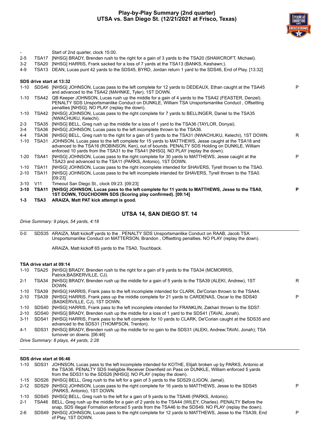#### **Play-by-Play Summary (2nd quarter) UTSA vs. San Diego St. (12/21/2021 at Frisco, Texas)**



| $1-3$                    | TSA3           | ARAIZA, Matt PAT kick attempt is good.                                                                                                                                                                                                                                               |   |
|--------------------------|----------------|--------------------------------------------------------------------------------------------------------------------------------------------------------------------------------------------------------------------------------------------------------------------------------------|---|
| $3 - 10$                 | TSA11          | [NHSG] JOHNSON, Lucas pass to the left complete for 11 yards to MATTHEWS, Jesse to the TSA0,<br>1ST DOWN, TOUCHDOWN SDS (Scoring play confirmed). [09:14]                                                                                                                            | P |
| $3 - 10$                 | V11            | Timeout San Diego St., clock 09:23. [09:23]                                                                                                                                                                                                                                          |   |
| 2-10                     | TSA11          | [NHSG] JOHNSON, Lucas pass to the left incomplete intended for SHAVERS, Tyrell thrown to the TSA0.<br>[09:23]                                                                                                                                                                        |   |
| 1-10                     | TSA11          | [NHSG] JOHNSON, Lucas pass to the right incomplete intended for SHAVERS, Tyrell thrown to the TSA0.                                                                                                                                                                                  |   |
| 1-20                     | TSA41          | [NHSG] JOHNSON, Lucas pass to the right complete for 30 yards to MATTHEWS, Jesse caught at the<br>TSA23 and advanced to the TSA11 (PARKS, Antonio), 1ST DOWN.                                                                                                                        | P |
| $1 - 10$                 | TSA31          | JOHNSON, Lucas pass to the left complete for 15 yards to MATTHEWS, Jesse caught at the TSA18 and<br>advanced to the TSA16 (ROBINSON, Ken), out of bounds. PENALTY SDS Holding on DUNKLE, William<br>enforced 10 yards from the TSA31 to the TSA41 [NHSG]. NO PLAY (replay the down). |   |
| 4-4                      |                | TSA36 [NHSG] BELL, Greg rush to the right for a gain of 5 yards to the TSA31 (NWACHUKU, Kelechi), 1ST DOWN.                                                                                                                                                                          | R |
| $3-4$                    | TSA36          | [NHSG] JOHNSON, Lucas pass to the left incomplete thrown to the TSA36.                                                                                                                                                                                                               |   |
| $2 - 3$                  | TSA35          | [NHSG] BELL, Greg rush up the middle for a loss of 1 yard to the TSA36 (TAYLOR, Donyai).                                                                                                                                                                                             |   |
| $1 - 10$                 | TSA42          | [NHSG] JOHNSON, Lucas pass to the right complete for 7 yards to BELLINGER, Daniel to the TSA35<br>(NWACHUKU, Kelechi).                                                                                                                                                               |   |
| 1-10                     | TSA42          | QB Keeper JOHNSON, Lucas rush up the middle for a gain of 4 yards to the TSA42 (FEASTER, Denzel).<br>PENALTY SDS Unsportsmanlike Conduct on DUNKLE, William TSA Unsportsmanlike Conduct, Offsetting<br>penalties [NHSG]. NO PLAY (replay the down).                                  |   |
|                          |                | 1-10 SDS46 [NHSG] JOHNSON, Lucas pass to the left complete for 12 yards to DEDEAUX, Ethan caught at the TSA45<br>and advanced to the TSA42 (MAHNKE, Tyler), 1ST DOWN.                                                                                                                | P |
|                          |                | SDS drive start at 13:32                                                                                                                                                                                                                                                             |   |
|                          |                |                                                                                                                                                                                                                                                                                      |   |
| 4-9                      | TSA13          | DEAN, Lucas punt 42 yards to the SDS45, BYRD, Jordan return 1 yard to the SDS46, End of Play. [13:32]                                                                                                                                                                                |   |
| $2 - 5$<br>$3-2$         | TSA17<br>TSA20 | [NHSG] BRADY, Brenden rush to the right for a gain of 3 yards to the TSA20 (SHAWCROFT, Michael).<br>[NHSG] HARRIS, Frank sacked for a loss of 7 yards at the TSA13 (BANKS, Keshawn;).                                                                                                |   |
| $\overline{\phantom{a}}$ |                | Start of 2nd quarter, clock 15:00.                                                                                                                                                                                                                                                   |   |
|                          |                |                                                                                                                                                                                                                                                                                      |   |

#### **UTSA 14, SAN DIEGO ST. 14**

*Drive Summary: 9 plays, 54 yards, 4:18*

0-0 SDS35 ARAIZA, Matt kickoff yards to the . PENALTY SDS Unsportsmanlike Conduct on RAAB, Jacob TSA Unsportsmanlike Conduct on MATTERSON, Brandon , Offsetting penalties. NO PLAY (replay the down).

ARAIZA, Matt kickoff 65 yards to the TSA0, Touchback.

#### **TSA drive start at 09:14**

| $1 - 10$ | TSA25 | [NHSG] BRADY, Brenden rush to the right for a gain of 9 yards to the TSA34 (MCMORRIS,<br>Patrick: BASKERVILLE, CJ).                                   |    |
|----------|-------|-------------------------------------------------------------------------------------------------------------------------------------------------------|----|
| $2 - 1$  | TSA34 | [NHSG] BRADY, Brenden rush up the middle for a gain of 5 yards to the TSA39 (ALEKI, Andrew), 1ST<br>DOWN.                                             | R. |
| 1-10     | TSA39 | [NHSG] HARRIS, Frank pass to the left incomplete intended for CLARK, De'Corian thrown to the TSA44.                                                   |    |
| $2 - 10$ | TSA39 | [NHSG] HARRIS, Frank pass up the middle complete for 21 yards to CARDENAS, Oscar to the SDS40<br>(BASKERVILLE, CJ), 1ST DOWN.                         |    |
| 1-10     |       | SDS40 [NHSG] HARRIS, Frank pass to the left incomplete intended for FRANKLIN, Zakhari thrown to the SDS7.                                             |    |
| $2 - 10$ | SDS40 | [NHSG] BRADY, Brenden rush up the middle for a loss of 1 yard to the SDS41 (TAVAI, Jonah).                                                            |    |
| $3 - 11$ | SDS41 | [NHSG] HARRIS, Frank pass to the left complete for 10 yards to CLARK, De'Corian caught at the SDS35 and<br>advanced to the SDS31 (THOMPSON, Trenton). |    |
| $4 - 1$  | SDS31 | [NHSG] BRADY, Brenden rush up the middle for no gain to the SDS31 (ALEKI, Andrew;TAVAI, Jonah); TSA<br>turnover on downs. [06:46]                     |    |
|          |       | Drive Summary: 8 plays, 44 yards, 2:28                                                                                                                |    |

#### **SDS drive start at 06:46**

|         | 1-10 SDS31 JOHNSON, Lucas pass to the left incomplete intended for KOTHE, Elijah broken up by PARKS, Antonio at<br>the TSA36. PENALTY SDS Ineligible Receiver Downfield on Pass on DUNKLE, William enforced 5 yards<br>from the SDS31 to the SDS26 [NHSG]. NO PLAY (replay the down). |   |
|---------|---------------------------------------------------------------------------------------------------------------------------------------------------------------------------------------------------------------------------------------------------------------------------------------|---|
|         | 1-15 SDS26 [NHSG] BELL, Greg rush to the left for a gain of 3 yards to the SDS29 (LIGON, Jamal).                                                                                                                                                                                      |   |
|         | 2-12 SDS29 [NHSG] JOHNSON, Lucas pass to the right complete for 16 yards to MATTHEWS, Jesse to the SDS45<br>(PARKS, Antonio), 1ST DOWN.                                                                                                                                               | P |
| 1-10    | SDS45 [NHSG] BELL, Greg rush to the left for a gain of 9 yards to the TSA46 (PARKS, Antonio).                                                                                                                                                                                         |   |
| $2 - 1$ | TSA46 BELL, Greg rush up the middle for a gain of 2 yards to the TSA44 (WILEY, Charles). PENALTY Before the<br>snap, SDS Illegal Formation enforced 5 yards from the TSA46 to the SDS49. NO PLAY (replay the down).                                                                   |   |
| $2-6$   | SDS49 [NHSG] JOHNSON, Lucas pass to the right complete for 12 yards to MATTHEWS, Jesse to the TSA39, End<br>of Play. 1ST DOWN.                                                                                                                                                        | P |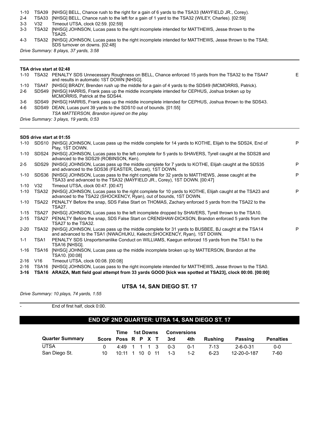1-10 TSA39 [NHSG] BELL, Chance rush to the right for a gain of 6 yards to the TSA33 (MAYFIELD JR., Corey).

2-4 TSA33 [NHSG] BELL, Chance rush to the left for a gain of 1 yard to the TSA32 (WILEY, Charles). [02:59]

3-3 V32 Timeout UTSA, clock 02:59. [02:59]

3-3 TSA32 [NHSG] JOHNSON, Lucas pass to the right incomplete intended for MATTHEWS, Jesse thrown to the TSA25.

4-3 TSA32 [NHSG] JOHNSON, Lucas pass to the right incomplete intended for MATTHEWS, Jesse thrown to the TSA8; SDS turnover on downs. [02:48]

*Drive Summary: 8 plays, 37 yards, 3:58*

#### **TSA drive start at 02:48**

1-10 TSA32 PENALTY SDS Unnecessary Roughness on BELL, Chance enforced 15 yards from the TSA32 to the TSA47 and results in automatic 1ST DOWN [NHSG]. E 1-10 TSA47 [NHSG] BRADY, Brenden rush up the middle for a gain of 4 yards to the SDS49 (MCMORRIS, Patrick). 2-6 SDS49 [NHSG] HARRIS, Frank pass up the middle incomplete intended for CEPHUS, Joshua broken up by MCMORRIS, Patrick at the SDS44.

3-6 SDS49 [NHSG] HARRIS, Frank pass up the middle incomplete intended for CEPHUS, Joshua thrown to the SDS43.

4-6 SDS49 DEAN, Lucas punt 39 yards to the SDS10 out of bounds. [01:55] *TSA MATTERSON, Brandon injured on the play.*

*Drive Summary: 3 plays, 19 yards, 0:53*

#### **SDS drive start at 01:55**

|          |                   | 1-10 SDS10 [NHSG] JOHNSON, Lucas pass up the middle complete for 14 yards to KOTHE, Elijah to the SDS24, End of<br>Play, 1ST DOWN.                                           | P |
|----------|-------------------|------------------------------------------------------------------------------------------------------------------------------------------------------------------------------|---|
| 1-10     | SDS24             | [NHSG] JOHNSON, Lucas pass to the left complete for 5 yards to SHAVERS, Tyrell caught at the SDS28 and<br>advanced to the SDS29 (ROBINSON, Ken).                             |   |
| $2 - 5$  | SDS <sub>29</sub> | [NHSG] JOHNSON, Lucas pass up the middle complete for 7 yards to KOTHE, Elijah caught at the SDS35<br>and advanced to the SDS36 (FEASTER, Denzel), 1ST DOWN.                 | P |
| 1-10     | SDS36             | [NHSG] JOHNSON, Lucas pass to the right complete for 32 yards to MATTHEWS, Jesse caught at the<br>TSA33 and advanced to the TSA32 (MAYFIELD JR., Corey), 1ST DOWN. [00:47]   | P |
| $1 - 10$ | V32               | Timeout UTSA, clock 00:47, [00:47]                                                                                                                                           |   |
| $1 - 10$ | TSA32             | [NHSG] JOHNSON, Lucas pass to the right complete for 10 yards to KOTHE, Elijah caught at the TSA23 and<br>advanced to the TSA22 (SHOCKENCY, Ryan), out of bounds, 1ST DOWN.  | P |
| 1-10     | TSA22             | PENALTY Before the snap, SDS False Start on THOMAS, Zachary enforced 5 yards from the TSA22 to the<br>TSA27.                                                                 |   |
| $1 - 15$ | TSA27             | [NHSG] JOHNSON, Lucas pass to the left incomplete dropped by SHAVERS, Tyrell thrown to the TSA10.                                                                            |   |
| $2 - 15$ | TSA27             | PENALTY Before the snap, SDS False Start on CRENSHAW-DICKSON, Brandon enforced 5 yards from the<br>TSA27 to the TSA32.                                                       |   |
| $2 - 20$ | TSA32             | [NHSG] JOHNSON, Lucas pass up the middle complete for 31 yards to BUSBEE, BJ caught at the TSA14<br>and advanced to the TSA1 (NWACHUKU, Kelechi; SHOCKENCY, Ryan), 1ST DOWN. | P |
| $1 - 1$  | TSA1              | PENALTY SDS Unsportsmanlike Conduct on WILLIAMS, Kaegun enforced 15 yards from the TSA1 to the<br>TSA16 [NHSG].                                                              |   |
| 1-16     | TSA16             | [NHSG] JOHNSON, Lucas pass up the middle incomplete broken up by MATTERSON, Brandon at the<br>TSA10. [00:08]                                                                 |   |
| $2 - 16$ | V16               | Timeout UTSA, clock 00:08. [00:08]                                                                                                                                           |   |
| $2 - 16$ | TSA <sub>16</sub> | [NHSG] JOHNSON, Lucas pass to the right incomplete intended for MATTHEWS, Jesse thrown to the TSA0.                                                                          |   |
| $3 - 16$ | TSA16             | ARAIZA, Matt field goal attempt from 33 yards GOOD [kick was spotted at TSA23], clock 00:00. [00:00]                                                                         |   |
|          |                   |                                                                                                                                                                              |   |

#### **UTSA 14, SAN DIEGO ST. 17**

*Drive Summary: 10 plays, 74 yards, 1:55*

End of first half, clock 0:00.

#### **END OF 2ND QUARTER: UTSA 14, SAN DIEGO ST. 17**

|                        |                    | Time | 1st Downs |  | Conversions         |         |          |             |                  |  |
|------------------------|--------------------|------|-----------|--|---------------------|---------|----------|-------------|------------------|--|
| <b>Quarter Summary</b> | Score Poss R P X T |      |           |  | 3rd                 | 4th     | Rushina  | Passing     | <b>Penalties</b> |  |
| <b>UTSA</b>            |                    |      |           |  | $4.49$ 1 1 1 3 0 3  | $0 - 1$ | 7-13     | 2-6-0-31    | $0 - 0$          |  |
| San Diego St.          | 10.                |      |           |  | 10:11 1 10 0 11 1-3 | 1-2     | $6 - 23$ | 12-20-0-187 | 7-60             |  |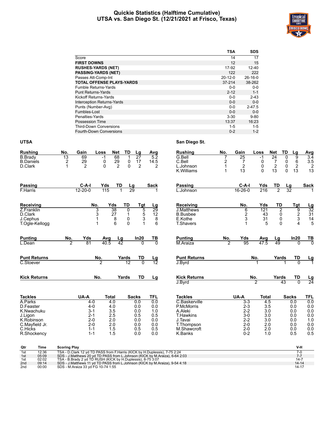#### **Quickie Statistics (Halftime Cumulative) UTSA vs. San Diego St. (12/21/2021 at Frisco, Texas)**



|                                   | <b>TSA</b>    | <b>SDS</b> |
|-----------------------------------|---------------|------------|
| Score                             | 14            | 17         |
| <b>FIRST DOWNS</b>                | 12            | 15         |
| <b>RUSHES-YARDS (NET)</b>         | 17-92         | $12 - 40$  |
| <b>PASSING-YARDS (NET)</b>        | 122           | 222        |
| Passes Att-Comp-Int               | $20 - 12 - 0$ | $26-16-0$  |
| <b>TOTAL OFFENSE PLAYS-YARDS</b>  | $37 - 214$    | 38-262     |
| <b>Fumble Returns-Yards</b>       | $0 - 0$       | $0 - 0$    |
| <b>Punt Returns-Yards</b>         | $2 - 12$      | $1 - 1$    |
| <b>Kickoff Returns-Yards</b>      | $0 - 0$       | $2 - 43$   |
| <b>Interception Returns-Yards</b> | $0 - 0$       | $0-0$      |
| Punts (Number-Avg)                | $0 - 0$       | $2 - 47.5$ |
| Fumbles-Lost                      | $0 - 0$       | $0 - 0$    |
| Penalties-Yards                   | $3 - 30$      | $9 - 80$   |
| <b>Possession Time</b>            | 13:37         | 16:23      |
| <b>Third-Down Conversions</b>     | $1 - 5$       | $1 - 5$    |
| Fourth-Down Conversions           | $0 - 2$       | $1 - 2$    |

#### **UTSA San Diego St.**

| <b>Rushing</b>                     | No.                  | Gain           | Loss           | Net                    | TD            | <u>Lg</u>             | Avg             | <b>Rushing</b>              | No.                         | Gain                 | Loss             | Net                               | TD<br>Lg                          | <b>Avg</b>                          |
|------------------------------------|----------------------|----------------|----------------|------------------------|---------------|-----------------------|-----------------|-----------------------------|-----------------------------|----------------------|------------------|-----------------------------------|-----------------------------------|-------------------------------------|
| <b>B.Brady</b><br><b>B.Daniels</b> | $\overline{13}$<br>2 | 69<br>29       | $-1$<br>0      | 68<br>29               | 1<br>0        | $\overline{27}$<br>17 | 5.2<br>14.5     | G.Bell<br>C.Bell            | $\overline{7}$<br>2         | $\overline{25}$<br>7 | $-1$<br>0        | $\overline{24}$<br>$\overline{7}$ | $\overline{9}$<br>0<br>$\,6$<br>0 | $\overline{3.4}$<br>$\frac{3.5}{2}$ |
| D.Clark                            | 1                    | $\overline{2}$ | 0              | $\overline{2}$         | $\Omega$      | $\overline{2}$        | 2               | L.Johnson<br>K. Williams    | $\mathbf{1}$<br>$\mathbf 1$ | $\overline{2}$<br>13 | 0<br>$\mathbf 0$ | $\boldsymbol{2}$<br>13            | 0<br>$\overline{c}$<br>13<br>0    | 13                                  |
| Passing                            |                      | $C-A-I$        | Yds            | TD                     | <u>Lg</u>     |                       | <b>Sack</b>     | <b>Passing</b>              |                             | $C-A-I$              | Yds              | TD                                | <u>Lg</u>                         | <b>Sack</b>                         |
| F.Harris                           |                      | $12 - 20 - 0$  | 115            |                        | 29            |                       |                 | L.Johnson                   |                             | 16-26-0              | 216              | $\overline{2}$                    | 32                                |                                     |
| Receiving                          |                      |                | No.            | Yds                    | TD            | Tgt                   | $\frac{Lg}{29}$ | <b>Receiving</b>            |                             | No.                  | Yds              | TD                                | Tgt                               | $\frac{Lg}{32}$                     |
| Z.Franklin                         |                      |                | 3              | 38                     | 0             | 5                     |                 | <b>J.Matthews</b>           |                             | 6                    | 121              | $\overline{2}$                    | $\overline{9}$                    |                                     |
| D.Clark                            |                      |                | 3              | 27                     | $\mathbf 1$   | $\overline{5}$        | 12              | <b>B.Busbee</b>             |                             | $\overline{c}$       | 43               | 0                                 | $\frac{2}{3}$                     | $\frac{31}{14}$                     |
| J.Cephus<br>T.Ogle-Kellogg         |                      |                | 1<br>1         | 8<br>6                 | 0<br>$\Omega$ |                       | 8<br>3<br>6     | E.Kothe<br><b>T.Shavers</b> |                             | 3                    | 31<br>5          | 0<br>$\Omega$                     | $\overline{\mathbf{4}}$           | 5                                   |
|                                    |                      |                |                |                        |               |                       |                 |                             |                             |                      |                  |                                   |                                   |                                     |
| <b>Punting</b>                     | No.                  | Yds            | Avg            | $\frac{\text{Lg}}{42}$ |               | In20                  | $\frac{TB}{0}$  | <b>Punting</b>              | No.                         | Yds                  | Avg              | <u>Lg</u>                         | In20                              | $rac{TB}{0}$                        |
| L.Dean                             | $\overline{2}$       | 81             | 40.5           |                        |               | $\overline{0}$        |                 | M.Araiza                    | $\overline{2}$              | 95                   | 47.5             | 49                                | $\Omega$                          |                                     |
| <b>Punt Returns</b>                |                      |                | No.            |                        | Yards         | TD                    | <u>Lg</u><br>12 | <b>Punt Returns</b>         |                             |                      | No.              | Yards                             | TD                                | $\frac{Lg}{1}$                      |
| C.Stoever                          |                      |                | $\overline{2}$ |                        | 12            | $\overline{0}$        |                 | J.Byrd                      |                             |                      | 1                |                                   | $\Omega$<br>1                     |                                     |
| <b>Kick Returns</b>                |                      |                | No.            |                        | Yards         | <b>TD</b>             | Lg              | <b>Kick Returns</b>         |                             |                      | No.              | Yards                             | TD                                | $\frac{\text{Lg}}{24}$              |
|                                    |                      |                |                |                        |               |                       |                 | J.Byrd                      |                             |                      | $\overline{2}$   | 43                                | $\overline{0}$                    |                                     |
| <b>Tackles</b>                     |                      | UA-A           | <b>Total</b>   |                        |               | <b>Sacks</b>          | <b>TFL</b>      | <b>Tackles</b>              |                             | UA-A                 | <b>Total</b>     |                                   | <b>Sacks</b>                      | TFL                                 |
| A.Parks                            |                      | $4 - 0$        |                | 4.0                    |               | 0.0                   | 0.0             | C.Baskerville               |                             | $3 - 3$              | 4.5              |                                   | 0.0                               | 0.0                                 |
| D.Feaster                          |                      | $4 - 0$        |                | 4.0                    |               | 0.0                   | 0.0             | P.McMorris                  |                             | $2 - 3$              | 3.5              |                                   | 0.0                               | 0.0                                 |
| K.Nwachuku                         |                      | $3 - 1$        |                | 3.5                    |               | 0.0                   | 1.0             | A.Aleki                     |                             | $2 - 2$              | 3.0              |                                   | 0.0                               | 0.0                                 |
| J.Ligon                            |                      | $2 - 1$        |                | 2.5                    |               | 0.5                   | 0.5             | <b>T.Hawkins</b>            |                             | $3-0$                | 3.0              |                                   | 0.0                               | 0.0                                 |
| K.Robinson                         |                      | $2 - 0$        |                | 2.0                    |               | 0.0                   | 0.0             | J.Tavai                     |                             | $2 - 2$              | 3.0              |                                   | 0.0                               | 1.0                                 |
| C.Mayfield Jr.                     |                      | $2 - 0$        |                | 2.0                    |               | 0.0                   | 0.0             | T.Thompson                  |                             | $2 - 0$              | 2.0              |                                   | 0.0                               | 0.0                                 |
| C.Hicks                            |                      | $1 - 1$        |                | 1.5                    |               | 0.5                   | 0.5             | M.Shawcroft                 |                             | $2 - 0$              | 2.0              |                                   | 0.0                               | 0.0                                 |
| R.Shockency                        |                      | $1 - 1$        |                | 1.5                    |               | 0.0                   | 0.0             | K.Banks                     |                             | $0 - 2$              | 1.0              |                                   | 0.5                               | 0.5                                 |
|                                    |                      |                |                |                        |               |                       |                 |                             |                             |                      |                  |                                   |                                   |                                     |

| Qtr             | Time  | <b>Scoring Play</b>                                                         | V-H       |
|-----------------|-------|-----------------------------------------------------------------------------|-----------|
| 1st             | 12:36 | TSA - D.Clark 12 yd TD PASS from F.Harris (KICK by H.Duplessis), 7-75 2:24  |           |
| 1st             | 05:09 | SDS - J.Matthews 20 yd TD PASS from L.Johnson (KICK by M.Araiza), 6-64 2:03 |           |
| 1st             | 02:02 | TSA - B. Brady 2 vd TD RUSH (KICK by H. Duplessis), 8-75 3:07               | $14 - 7$  |
| 2 <sub>nd</sub> | 09:14 | SDS - J.Matthews 11 yd TD PASS from L.Johnson (KICK by M.Araiza), 9-54 4:18 | $14 - 14$ |
| 2 <sub>nd</sub> | 00:00 | SDS - M.Araiza 33 yd FG 10-74 1:55                                          | 14-17     |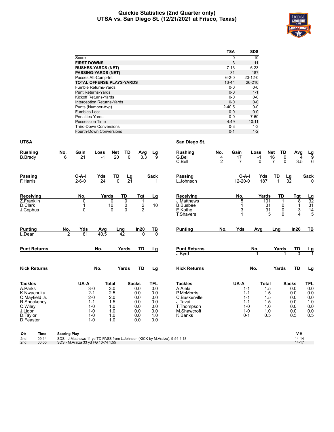#### **Quickie Statistics (2nd Quarter only) UTSA vs. San Diego St. (12/21/2021 at Frisco, Texas)**



|                       |                |                    |                                  |                |                        |                  |                |                     |                | <b>TSA</b>     | SDS           |                            |                 |                 |
|-----------------------|----------------|--------------------|----------------------------------|----------------|------------------------|------------------|----------------|---------------------|----------------|----------------|---------------|----------------------------|-----------------|-----------------|
|                       |                | Score              |                                  |                |                        |                  |                |                     |                | $\pmb{0}$      | 10            |                            |                 |                 |
|                       |                | <b>FIRST DOWNS</b> |                                  |                |                        |                  |                |                     |                | 3              | 11            |                            |                 |                 |
|                       |                |                    | <b>RUSHES-YARDS (NET)</b>        |                |                        |                  |                |                     |                | $7 - 13$       | $6 - 23$      |                            |                 |                 |
|                       |                |                    | <b>PASSING-YARDS (NET)</b>       |                |                        |                  |                |                     |                | 31             | 187           |                            |                 |                 |
|                       |                |                    | Passes Att-Comp-Int              |                |                        |                  |                |                     |                | $6 - 2 - 0$    | $20 - 12 - 0$ |                            |                 |                 |
|                       |                |                    | <b>TOTAL OFFENSE PLAYS-YARDS</b> |                |                        |                  |                |                     | $13 - 44$      |                | 26-210        |                            |                 |                 |
|                       |                |                    | Fumble Returns-Yards             |                |                        |                  |                |                     |                | $0-0$          | $0-0$         |                            |                 |                 |
|                       |                |                    | <b>Punt Returns-Yards</b>        |                |                        |                  |                |                     |                | $0-0$          | $1 - 1$       |                            |                 |                 |
|                       |                |                    | <b>Kickoff Returns-Yards</b>     |                |                        |                  |                |                     |                | $0-0$          | $0-0$         |                            |                 |                 |
|                       |                |                    | Interception Returns-Yards       |                |                        |                  |                |                     |                | $0-0$          | $0-0$         |                            |                 |                 |
|                       |                |                    | Punts (Number-Avg)               |                |                        |                  |                |                     | $2 - 40.5$     |                | $0-0$         |                            |                 |                 |
|                       |                | Fumbles-Lost       |                                  |                |                        |                  |                |                     |                | $0-0$          | $0-0$         |                            |                 |                 |
|                       |                | Penalties-Yards    |                                  |                |                        |                  |                |                     |                | $0 - 0$        | $7 - 60$      |                            |                 |                 |
|                       |                |                    | Possession Time                  |                |                        |                  |                |                     |                | 4:49           | 10:11         |                            |                 |                 |
|                       |                |                    | <b>Third-Down Conversions</b>    |                |                        |                  |                |                     |                | $0 - 3$        | $1 - 3$       |                            |                 |                 |
|                       |                |                    | Fourth-Down Conversions          |                |                        |                  |                |                     |                | $0 - 1$        | $1 - 2$       |                            |                 |                 |
|                       |                |                    |                                  |                |                        |                  |                |                     |                |                |               |                            |                 |                 |
| <b>UTSA</b>           |                |                    |                                  |                |                        |                  |                | San Diego St.       |                |                |               |                            |                 |                 |
| <b>Rushing</b>        | No.            | Gain               | Loss                             | Net            | TD                     | Avg              | Lg             | <b>Rushing</b>      | No.            | Gain           | Loss          | <b>Net</b><br>TD           | Avg             | <u>Lg</u>       |
| <b>B.Brady</b>        | 6              | $\overline{21}$    | $-1$                             | 20             | $\overline{0}$         | $\overline{3.3}$ | ज़             | G.Bell              | $\overline{4}$ | 17             | $-1$          | 16<br>0                    | 4               | तु              |
|                       |                |                    |                                  |                |                        |                  |                | C.Bell              | $\overline{2}$ | $\overline{7}$ | $\Omega$      | $\overline{7}$<br>$\Omega$ | 3.5             | 6               |
|                       |                |                    |                                  |                |                        |                  |                |                     |                |                |               |                            |                 |                 |
| <b>Passing</b>        |                | C-A-I              | Yds                              | TD             |                        |                  | Sack           | <b>Passing</b>      |                | $C-A-I$        | Yds           | TD                         | <u>Lg</u>       | <b>Sack</b>     |
| F.Harris              |                | $2 - 6 - 0$        | $\overline{24}$                  | $\overline{0}$ | $\frac{\text{Lg}}{21}$ |                  |                | L.Johnson           |                | $12 - 20 - 0$  | 187           | $\overline{1}$             | $\overline{32}$ |                 |
|                       |                |                    |                                  |                |                        |                  |                |                     |                |                |               |                            |                 |                 |
| Receiving             |                | No.                |                                  | Yards          | TD                     | Tgt              | Lg             | Receiving           |                | No.            | Yards         | TD                         | Tgt             |                 |
| Z.Franklin            |                | 0                  |                                  | 0              | $\Omega$               | 1                |                | J.Matthews          |                | 5              |               | 101<br>1                   | 8               | $\frac{Lg}{32}$ |
| D.Clark               |                | 1                  |                                  | 10             | 0                      | 2                | 10             | <b>B.Busbee</b>     |                | 1              |               | 31<br>$\mathbf 0$          | $\mathbf 1$     | 31              |
| J.Cephus              |                | $\Omega$           |                                  | $\mathbf{0}$   | $\Omega$               | $\overline{2}$   |                | E.Kothe             |                | 3              |               | 31<br>$\mathbf{0}$         | 3               | 14              |
|                       |                |                    |                                  |                |                        |                  |                | <b>T.Shavers</b>    |                | 1              |               | 5<br>$\Omega$              | 4               | 5               |
|                       |                |                    |                                  |                |                        |                  |                |                     |                |                |               |                            |                 |                 |
| <b>Punting</b>        | No.            | Yds                | Avg                              |                | Lng                    | In20             | TВ             | <b>Punting</b>      | No.            | Yds            | Avg           | Lng                        | In20            | TВ              |
| L.Dean                | $\overline{2}$ | 81                 | 40.5                             |                | 42                     |                  | $\overline{0}$ |                     |                |                |               |                            |                 |                 |
|                       |                |                    |                                  |                |                        |                  |                |                     |                |                |               |                            |                 |                 |
| <b>Punt Returns</b>   |                |                    | No.                              |                | Yards                  | TD               | Lg             | <b>Punt Returns</b> |                |                | No.           | Yards                      | TD              |                 |
|                       |                |                    |                                  |                |                        |                  |                | J.Byrd              |                |                |               |                            | $\Omega$        | <u>Lg</u>       |
|                       |                |                    |                                  |                |                        |                  |                |                     |                |                |               |                            |                 |                 |
|                       |                |                    |                                  |                |                        |                  |                |                     |                |                |               |                            |                 |                 |
| <b>Kick Returns</b>   |                |                    | No.                              |                | Yards                  | TD               | Lg             | <b>Kick Returns</b> |                |                | No.           | Yards                      | TD              | Lg              |
|                       |                |                    |                                  |                |                        |                  |                |                     |                |                |               |                            |                 |                 |
| <b>Tackles</b>        |                | UA-A               |                                  | <b>Total</b>   |                        | <b>Sacks</b>     | TFL            | <b>Tackles</b>      |                | UA-A           | Total         |                            | <b>Sacks</b>    | <b>TFL</b>      |
| A.Parks               |                |                    | $3-0$                            | 3.0            |                        | 0.0              | 0.0            | A.Aleki             |                |                | $1 - 1$       | 1.5                        | 0.0             | 0.0             |
| K.Nwachuku            |                |                    | $2 - 1$                          | 2.5            |                        | 0.0              | 0.0            | P.McMorris          |                |                | $1 - 1$       | 1.5                        | 0.0             | 0.0             |
| C.Mayfield Jr.        |                |                    | $2 - 0$                          | 2.0            |                        | 0.0              | 0.0            | C.Baskerville       |                |                | $1 - 1$       | 1.5                        | 0.0             | 0.0             |
| R.Shockency           |                |                    | $1 - 1$                          | 1.5            |                        | 0.0              | 0.0            | J.Tavai             |                |                | $1 - 1$       | 1.5                        | 0.0             | 1.0             |
| C.Wiley               |                |                    | $1 - 0$                          | 1.0            |                        | 0.0              | 0.0            | T.Thompson          |                |                | $1 - 0$       | 1.0                        | 0.0             | 0.0             |
| J.Ligon               |                |                    | $1 - 0$<br>$1 - 0$               | 1.0            |                        | 0.0              | 0.0            | M.Shawcroft         |                |                | $1 - 0$       | 1.0                        | 0.0             | 0.0<br>0.5      |
| D.Taylor<br>D.Feaster |                |                    | $1 - 0$                          | 1.0<br>1.0     |                        | 0.0<br>0.0       | 1.0<br>0.0     | K.Banks             |                |                | $0 - 1$       | 0.5                        | 0.5             |                 |
|                       |                |                    |                                  |                |                        |                  |                |                     |                |                |               |                            |                 |                 |
|                       |                |                    |                                  |                |                        |                  |                |                     |                |                |               |                            |                 |                 |
|                       |                |                    |                                  |                |                        |                  |                |                     |                |                |               |                            |                 |                 |

| Qtr             | Time  | <b>Scoring Play</b>                                                         |           |
|-----------------|-------|-----------------------------------------------------------------------------|-----------|
| 2nd             | 09:14 | SDS - J.Matthews 11 yd TD PASS from L.Johnson (KICK by M.Araiza), 9-54 4:18 | $14 - 14$ |
| 2 <sub>nd</sub> | 00:00 | SDS - M.Araiza 33 yd FG 10-74 1:55                                          | $14 - 17$ |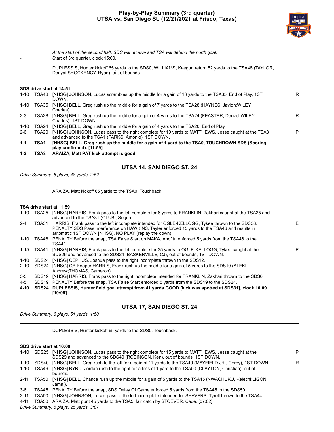

*At the start of the second half, SDS will receive and TSA will defend the north goal.* Start of 3rd quarter, clock 15:00.

DUPLESSIS, Hunter kickoff 65 yards to the SDS0, WILLIAMS, Kaegun return 52 yards to the TSA48 (TAYLOR, Donyai;SHOCKENCY, Ryan), out of bounds.

#### **SDS drive start at 14:51**

| $1 - 10$ | TSA48 | [NHSG] JOHNSON, Lucas scrambles up the middle for a gain of 13 yards to the TSA35, End of Play, 1ST<br>DOWN.                                                | R |
|----------|-------|-------------------------------------------------------------------------------------------------------------------------------------------------------------|---|
| 1-10     | TSA35 | [NHSG] BELL, Greg rush up the middle for a gain of 7 yards to the TSA28 (HAYNES, Jaylon: WILEY,<br>Charles).                                                |   |
| $2 - 3$  | TSA28 | [NHSG] BELL, Greg rush up the middle for a gain of 4 yards to the TSA24 (FEASTER, Denzel; WILEY,<br>Charles). 1ST DOWN.                                     | R |
| 1-10     | TSA24 | [NHSG] BELL, Greg rush up the middle for a gain of 4 yards to the TSA20, End of Play.                                                                       |   |
| $2-6$    | TSA20 | [NHSG] JOHNSON, Lucas pass to the right complete for 19 yards to MATTHEWS, Jesse caught at the TSA3<br>and advanced to the TSA1 (PARKS, Antonio), 1ST DOWN. | P |
| $1 - 1$  | TSA1  | [NHSG] BELL, Greg rush up the middle for a gain of 1 yard to the TSA0, TOUCHDOWN SDS (Scoring<br>play confirmed). [11:59]                                   |   |
|          |       |                                                                                                                                                             |   |

**1-3 TSA3 ARAIZA, Matt PAT kick attempt is good.**

#### **UTSA 14, SAN DIEGO ST. 24**

*Drive Summary: 6 plays, 48 yards, 2:52*

ARAIZA, Matt kickoff 65 yards to the TSA0, Touchback.

#### **TSA drive start at 11:59**

| [NHSG] HARRIS, Frank pass to the left complete for 6 yards to FRANKLIN, Zakhari caught at the TSA25 and<br>advanced to the TSA31 (OLUBI, Segun).                                                                                                           |                                                                                                                                                                                                                                                      |
|------------------------------------------------------------------------------------------------------------------------------------------------------------------------------------------------------------------------------------------------------------|------------------------------------------------------------------------------------------------------------------------------------------------------------------------------------------------------------------------------------------------------|
| HARRIS, Frank pass to the left incomplete intended for OGLE-KELLOGG, Tykee thrown to the SDS38.<br>PENALTY SDS Pass Interference on HAWKINS. Tayler enforced 15 yards to the TSA46 and results in<br>automatic 1ST DOWN [NHSG]. NO PLAY (replay the down). | Е                                                                                                                                                                                                                                                    |
| PENALTY Before the snap, TSA False Start on MAKA, Ahofitu enforced 5 yards from the TSA46 to the<br>TSA41.                                                                                                                                                 |                                                                                                                                                                                                                                                      |
| [NHSG] HARRIS, Frank pass to the left complete for 35 yards to OGLE-KELLOGG, Tykee caught at the<br>SDS26 and advanced to the SDS24 (BASKERVILLE, CJ), out of bounds, 1ST DOWN.                                                                            | P                                                                                                                                                                                                                                                    |
| [NHSG] CEPHUS, Joshua pass to the right incomplete thrown to the SDS12.                                                                                                                                                                                    |                                                                                                                                                                                                                                                      |
| [NHSG] QB Keeper HARRIS, Frank rush up the middle for a gain of 5 yards to the SDS19 (ALEKI,<br>Andrew:THOMAS, Cameron).                                                                                                                                   |                                                                                                                                                                                                                                                      |
| [NHSG] HARRIS, Frank pass to the right incomplete intended for FRANKLIN, Zakhari thrown to the SDS0.                                                                                                                                                       |                                                                                                                                                                                                                                                      |
|                                                                                                                                                                                                                                                            |                                                                                                                                                                                                                                                      |
| [10:09]                                                                                                                                                                                                                                                    |                                                                                                                                                                                                                                                      |
| TSA31<br>TSA41                                                                                                                                                                                                                                             | TSA25<br>TSA46<br>SDS24<br>SDS24<br>SDS19<br>SDS19 PENALTY Before the snap. TSA False Start enforced 5 yards from the SDS19 to the SDS24.<br>SDS24 DUPLESSIS, Hunter field goal attempt from 41 yards GOOD [kick was spotted at SDS31], clock 10:09. |

#### **UTSA 17, SAN DIEGO ST. 24**

*Drive Summary: 6 plays, 51 yards, 1:50*

DUPLESSIS, Hunter kickoff 65 yards to the SDS0, Touchback.

#### **SDS drive start at 10:09**

| $1 - 10$ |       | SDS25 [NHSG] JOHNSON, Lucas pass to the right complete for 15 yards to MATTHEWS, Jesse caught at the<br>SDS29 and advanced to the SDS40 (ROBINSON, Ken), out of bounds, 1ST DOWN. | P. |
|----------|-------|-----------------------------------------------------------------------------------------------------------------------------------------------------------------------------------|----|
| $1 - 10$ | SDS40 | [NHSG] BELL, Greg rush to the left for a gain of 11 yards to the TSA49 (MAYFIELD JR., Corey), 1ST DOWN.                                                                           | R  |
| $1 - 10$ | TSA49 | [NHSG] BYRD, Jordan rush to the right for a loss of 1 yard to the TSA50 (CLAYTON, Christian), out of<br>bounds.                                                                   |    |
| $2 - 11$ | TSA50 | [NHSG] BELL, Chance rush up the middle for a gain of 5 yards to the TSA45 (NWACHUKU, Kelechi;LIGON,<br>Jamal).                                                                    |    |
| 3-6      |       | TSA45 PENALTY Before the snap, SDS Delay Of Game enforced 5 yards from the TSA45 to the SDS50.                                                                                    |    |
| $3 - 11$ | TSA50 | [NHSG] JOHNSON, Lucas pass to the left incomplete intended for SHAVERS, Tyrell thrown to the TSA44.                                                                               |    |
| $4 - 11$ |       | TSA50 ARAIZA, Matt punt 45 yards to the TSA5, fair catch by STOEVER, Cade. [07:02]                                                                                                |    |
|          |       | Drive Summary: 5 plays, 25 yards, 3:07                                                                                                                                            |    |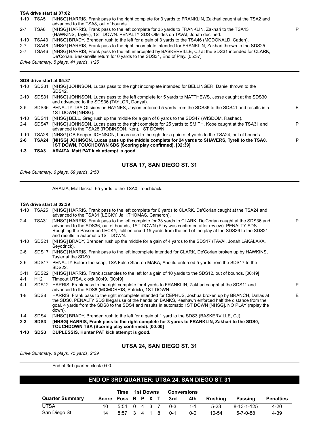#### **TSA drive start at 07:02**

| 1-10    | TSA5  | [NHSG] HARRIS, Frank pass to the right complete for 3 yards to FRANKLIN, Zakhari caught at the TSA2 and<br>advanced to the TSA8, out of bounds. |
|---------|-------|-------------------------------------------------------------------------------------------------------------------------------------------------|
| $2 - 7$ | TSA8  | [NHSG] HARRIS, Frank pass to the left complete for 35 yards to FRANKLIN, Zakhari to the TSA43                                                   |
|         |       | (HAWKINS, Tayler), 1ST DOWN. PENALTY SDS Offsides on TAVAI, Jonah declined.                                                                     |
| 1-10    | TSA43 | [NHSG] BRADY, Brenden rush to the left for a gain of 3 yards to the TSA46 (MCDONALD, Caden).                                                    |
| $2 - 7$ | TSA46 | [NHSG] HARRIS, Frank pass to the right incomplete intended for FRANKLIN, Zakhari thrown to the SDS25.                                           |
| $3 - 7$ | TSA46 | [NHSG] HARRIS, Frank pass to the left intercepted by BASKERVILLE, CJ at the SDS31 intended for CLARK,                                           |
|         |       | De'Corian. Baskerville return for 0 yards to the SDS31, End of Play. [05:37]                                                                    |
|         |       | Drive Summary: 5 plays, 41 vards, 1:25                                                                                                          |

P

*Drive Summary: 5 plays, 41 yards, 1:25*

#### **SDS drive start at 05:37**

| $1 - 10$ | SDS31 | [NHSG] JOHNSON, Lucas pass to the right incomplete intended for BELLINGER, Daniel thrown to the<br>SDS42.                                                   |    |
|----------|-------|-------------------------------------------------------------------------------------------------------------------------------------------------------------|----|
| $2 - 10$ | SDS31 | [NHSG] JOHNSON, Lucas pass to the left complete for 5 yards to MATTHEWS, Jesse caught at the SDS30<br>and advanced to the SDS36 (TAYLOR, Donyai).           |    |
| $3-5$    |       | SDS36 PENALTY TSA Offsides on HAYNES, Jaylon enforced 5 yards from the SDS36 to the SDS41 and results in a<br>1ST DOWN [NHSG].                              | F. |
| $1 - 10$ | SDS41 | [NHSG] BELL, Greg rush up the middle for a gain of 6 yards to the SDS47 (WISDOM, Rashad).                                                                   |    |
| $2 - 4$  | SDS47 | [NHSG] JOHNSON, Lucas pass to the right complete for 25 yards to SMITH, Kobe caught at the TSA31 and<br>advanced to the TSA28 (ROBINSON, Ken), 1ST DOWN.    | P  |
| 1-10     | TSA28 | [NHSG] QB Keeper JOHNSON, Lucas rush to the right for a gain of 4 yards to the TSA24, out of bounds.                                                        |    |
| 2-6      | TSA24 | [NHSG] JOHNSON, Lucas pass up the middle complete for 24 yards to SHAVERS, Tyrell to the TSA0,<br>1ST DOWN, TOUCHDOWN SDS (Scoring play confirmed). [02:39] | Р  |
| 1-3      | TSA3  | ARAIZA, Matt PAT kick attempt is good.                                                                                                                      |    |

#### **UTSA 17, SAN DIEGO ST. 31**

*Drive Summary: 6 plays, 69 yards, 2:58*

ARAIZA, Matt kickoff 65 yards to the TSA0, Touchback.

#### **TSA drive start at 02:39**

| 1-10     | TSA25            | [NHSG] HARRIS, Frank pass to the left complete for 6 yards to CLARK, De'Corian caught at the TSA24 and                                                                                                                                                                                                                                                                                                               |   |
|----------|------------------|----------------------------------------------------------------------------------------------------------------------------------------------------------------------------------------------------------------------------------------------------------------------------------------------------------------------------------------------------------------------------------------------------------------------|---|
| $2 - 4$  | TSA31            | advanced to the TSA31 (LECKY, Jalil; THOMAS, Cameron).<br>[NHSG] HARRIS, Frank pass to the left complete for 33 yards to CLARK, De'Corian caught at the SDS36 and<br>advanced to the SDS36, out of bounds, 1ST DOWN (Play was confirmed after review). PENALTY SDS<br>Roughing the Passer on LECKY, Jalil enforced 15 yards from the end of the play at the SDS36 to the SDS21<br>and results in automatic 1ST DOWN. | P |
| 1-10     |                  | SDS21 [NHSG] BRADY, Brenden rush up the middle for a gain of 4 yards to the SDS17 (TAVAI, Jonah;LAKALAKA,<br>Seyddrick).                                                                                                                                                                                                                                                                                             |   |
| $2-6$    | SDS17            | [NHSG] HARRIS, Frank pass to the left incomplete intended for CLARK, De'Corian broken up by HAWKINS,<br>Tayler at the SDS0.                                                                                                                                                                                                                                                                                          |   |
| $3-6$    |                  | SDS17 PENALTY Before the snap, TSA False Start on MAKA, Ahofitu enforced 5 yards from the SDS17 to the<br>SDS22.                                                                                                                                                                                                                                                                                                     |   |
| $3 - 11$ | SDS22            | [NHSG] HARRIS, Frank scrambles to the left for a gain of 10 yards to the SDS12, out of bounds. [00:49]                                                                                                                                                                                                                                                                                                               |   |
| $4 - 1$  | H <sub>12</sub>  | Timeout UTSA, clock 00:49. [00:49]                                                                                                                                                                                                                                                                                                                                                                                   |   |
| $4 - 1$  |                  | SDS12 HARRIS, Frank pass to the right complete for 4 yards to FRANKLIN, Zakhari caught at the SDS11 and<br>advanced to the SDS8 (MCMORRIS, Patrick), 1ST DOWN.                                                                                                                                                                                                                                                       | P |
| $1 - 8$  | SDS8             | HARRIS, Frank pass to the right incomplete intended for CEPHUS, Joshua broken up by BRANCH, Dallas at<br>the SDS0. PENALTY SDS Illegal use of the hands on BANKS, Keshawn enforced half the distance from the<br>goal, 4 yards from the SDS8 to the SDS4 and results in automatic 1ST DOWN [NHSG]. NO PLAY (replay the<br>down).                                                                                     | E |
| $1 - 4$  | SDS4             | [NHSG] BRADY, Brenden rush to the left for a gain of 1 yard to the SDS3 (BASKERVILLE, CJ).                                                                                                                                                                                                                                                                                                                           |   |
| $2 - 3$  | SDS <sub>3</sub> | [NHSG] HARRIS, Frank pass to the right complete for 3 yards to FRANKLIN, Zakhari to the SDS0,<br>TOUCHDOWN TSA (Scoring play confirmed). [00:00]                                                                                                                                                                                                                                                                     |   |
| 1-10     | SDS <sub>3</sub> | DUPLESSIS, Hunter PAT kick attempt is good.                                                                                                                                                                                                                                                                                                                                                                          |   |

#### **UTSA 24, SAN DIEGO ST. 31**

*Drive Summary: 8 plays, 75 yards, 2:39*

End of 3rd quarter, clock 0:00.

#### **END OF 3RD QUARTER: UTSA 24, SAN DIEGO ST. 31**

|                        |      |                  | Time 1st Downs Conversions |  |  |                        |         |         |                  |                  |  |
|------------------------|------|------------------|----------------------------|--|--|------------------------|---------|---------|------------------|------------------|--|
| <b>Quarter Summary</b> |      |                  |                            |  |  | Score Poss R P X T 3rd | 4th     | Rushina | Passing          | <b>Penalties</b> |  |
| UTSA                   | 10 I |                  |                            |  |  | 5:54 0 4 3 7 0-3       | $-1-1$  | $5-23$  | 8-13-1-125       | 4-20             |  |
| San Diego St.          | 14   | 8:57 3 4 1 8 0-1 |                            |  |  |                        | $0 - 0$ | 10-54   | $5 - 7 - 0 - 88$ | 4-39             |  |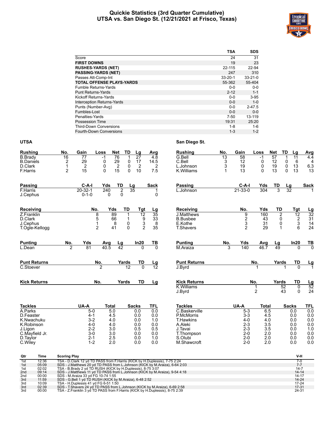#### **Quickie Statistics (3rd Quarter Cumulative) UTSA vs. San Diego St. (12/21/2021 at Frisco, Texas)**



|                                   | <b>TSA</b>    | <b>SDS</b>    |
|-----------------------------------|---------------|---------------|
| Score                             | 24            | 31            |
| <b>FIRST DOWNS</b>                | 19            | 23            |
| <b>RUSHES-YARDS (NET)</b>         | 22-115        | 22-94         |
| <b>PASSING-YARDS (NET)</b>        | 247           | 310           |
| Passes Att-Comp-Int               | $33 - 20 - 1$ | $33 - 21 - 0$ |
| <b>TOTAL OFFENSE PLAYS-YARDS</b>  | 55-362        | 55-404        |
| <b>Fumble Returns-Yards</b>       | $0 - 0$       | $0-0$         |
| <b>Punt Returns-Yards</b>         | $2 - 12$      | $1 - 1$       |
| Kickoff Returns-Yards             | $0 - 0$       | $3 - 95$      |
| <b>Interception Returns-Yards</b> | $0 - 0$       | $1 - 0$       |
| Punts (Number-Avg)                | $0 - 0$       | $2 - 47.5$    |
| Fumbles-Lost                      | $0 - 0$       | $0 - 0$       |
| Penalties-Yards                   | 7-50          | 13-119        |
| Possession Time                   | 19:31         | 25:20         |
| <b>Third-Down Conversions</b>     | 1-8           | $1 - 6$       |
| <b>Fourth-Down Conversions</b>    | $1 - 3$       | $1 - 2$       |

#### **UTSA San Diego St.**

| <b>Rushina</b>               | No.                                                                                                                                        | Gain           | Loss           | Net             | TD                   | Lg              | Avg                    | Rushina             | No.             | Gain           | Loss     | <b>Net</b>     | TD<br>Lg            | <b>Avg</b>      |
|------------------------------|--------------------------------------------------------------------------------------------------------------------------------------------|----------------|----------------|-----------------|----------------------|-----------------|------------------------|---------------------|-----------------|----------------|----------|----------------|---------------------|-----------------|
| <b>B.Brady</b>               | 16                                                                                                                                         | 77             | $-1$           | $\overline{76}$ | 1                    | $\overline{27}$ | 4.8                    | G.Bell              | $\overline{13}$ | 58             | $-1$     | 57             | 11                  | 4.4             |
| <b>B.Daniels</b>             | $\overline{c}$                                                                                                                             | 29             | 0              | 29              | 0                    | 17              | 14.5                   | C.Bell              | 3               | 12             | 0        | 12             | 0<br>6              | 4               |
| D.Clark                      | 1                                                                                                                                          | $\overline{2}$ | 0              | $\overline{2}$  | 0                    | $\overline{2}$  | $\overline{2}$         | L.Johnson           | 3               | 19             | 0        | 19             | 0<br>13             | 6.3             |
| F.Harris                     | $\overline{2}$                                                                                                                             | 15             | $\Omega$       | 15              | $\Omega$             | 10              | 7.5                    | K. Williams         | 1               | 13             | $\Omega$ | 13             | $\Omega$<br>13      | 13              |
| <b>Passing</b>               |                                                                                                                                            | C-A-I          | Yds            | TD              | Lg                   |                 | Sack                   | Passing             |                 | $C-A-I$        | Yds      | TD             | Lg                  | Sack            |
| F.Harris                     |                                                                                                                                            | $20 - 32 - 1$  | 240            |                 | $\overline{2}$<br>35 |                 |                        | L.Johnson           |                 | $21 - 33 - 0$  | 304      | 3              | 32                  |                 |
| J.Cephus                     |                                                                                                                                            | $0 - 1 - 0$    | 0              |                 | 0                    |                 | 0                      |                     |                 |                |          |                |                     |                 |
| Receiving                    |                                                                                                                                            | No.            |                | Yds             | TD                   | Tgt             | Lg                     | Receiving           |                 | No.            | Yds      | TD             | Tgt                 | <u>Lg</u>       |
| Z.Franklin                   |                                                                                                                                            |                | 8              | 89              | 1                    | $\overline{12}$ | $\overline{35}$        | J.Matthews          |                 | 9              | 160      | $\overline{2}$ | $\overline{12}$     | $\overline{32}$ |
| D.Clark                      |                                                                                                                                            |                | 5              | 66              | 1                    |                 | 33                     | <b>B.Busbee</b>     |                 | $\frac{2}{3}$  | 43       | 0              | $\frac{2}{3}$       | 31              |
| J.Cephus                     |                                                                                                                                            |                | 1              | 8               | 0                    | $\frac{9}{3}$   | 8                      | E.Kothe             |                 |                | 31       | 0              |                     | 14              |
| T.Ogle-Kellogg               |                                                                                                                                            |                | $\overline{2}$ | 41              | $\mathbf{0}$         | $\overline{2}$  | 35                     | <b>T.Shavers</b>    |                 | $\overline{2}$ | 29       | $\mathbf 1$    | 6                   | 24              |
| <b>Punting</b>               | No.                                                                                                                                        | Yds            | Avg            | Lg              |                      | In20            | TВ                     | <b>Punting</b>      | No.             | Yds            | Avg      | Lg             | In20                | <u>ТВ</u>       |
| L.Dean                       | $\mathfrak{p}$                                                                                                                             | 81             | 40.5           | $\overline{42}$ |                      | $\Omega$        | $\overline{0}$         | M.Araiza            | 3               | 140            | 46.7     | 49             | $\Omega$            | $\overline{0}$  |
| <b>Punt Returns</b>          |                                                                                                                                            |                | No.            |                 | Yards                | TD              |                        | <b>Punt Returns</b> |                 |                | No.      | Yards          | TD                  |                 |
| C.Stoever                    |                                                                                                                                            |                | $\overline{2}$ |                 | $\overline{12}$      | $\overline{0}$  | $\frac{\text{Lg}}{12}$ | J.Byrd              |                 |                |          |                | $\Omega$            | <u>Lg</u><br>1  |
| <b>Kick Returns</b>          |                                                                                                                                            |                | No.            |                 | Yards                | TD              | Lg                     | <b>Kick Returns</b> |                 |                | No.      | Yards          | TD                  |                 |
|                              |                                                                                                                                            |                |                |                 |                      |                 |                        | <b>K.Williams</b>   |                 |                | 1        |                | 52<br>0             | $\frac{Lg}{52}$ |
|                              |                                                                                                                                            |                |                |                 |                      |                 |                        | J.Byrd              |                 |                | 2        | 43             | 0                   | 24              |
| <b>Tackles</b>               |                                                                                                                                            | UA-A           | Total          |                 |                      | Sacks           | TFL                    | <b>Tackles</b>      |                 | UA-A           | Total    |                | <b>Sacks</b>        | TFL             |
| A.Parks                      |                                                                                                                                            | $5-0$          |                | 5.0             |                      | 0.0             | 0.0                    | C.Baskerville       |                 | $5-3$          | 6.5      |                | 0.0                 | 0.0             |
| D.Feaster                    |                                                                                                                                            | 4-1            |                | 4.5             |                      | 0.0             | 0.0                    | P.McMorris          |                 | $3-3$          | 4.5      |                | 0.0                 | 0.0             |
| K.Nwachuku                   |                                                                                                                                            | $3-2$          |                | 4.0             |                      | 0.0             | 1.0                    | <b>T.Hawkins</b>    |                 | $4 - 0$        | 4.0      |                | 0.0                 | 0.0             |
| K.Robinson                   |                                                                                                                                            | 4-0            |                | 4.0             |                      | 0.0             | 0.0                    | A.Aleki             |                 | $2 - 3$        | 3.5      |                | 0.0                 | 0.0             |
| J.Ligon                      |                                                                                                                                            | $2-2$          |                | 3.0             |                      | 0.5             | 0.5                    | J.Tavai             |                 | $2 - 3$        | 3.5      |                | 0.0                 | 1.0             |
| C.Mayfield Jr.               |                                                                                                                                            | $3-0$          |                | 3.0             |                      | 0.0             | 0.0                    | T.Thompson          |                 | $2 - 0$        | 2.0      |                | 0.0                 | 0.0             |
| D.Taylor                     |                                                                                                                                            | $2 - 1$        |                | 2.5             |                      | 0.0             | 1.0                    | S.Olubi             |                 | $2 - 0$        | 2.0      |                | 0.0                 | 0.0             |
| C.Wiley                      |                                                                                                                                            | $1 - 2$        |                | 2.0             |                      | 0.0             | 0.0                    | M.Shawcroft         |                 | $2 - 0$        | 2.0      |                | 0.0                 | 0.0             |
| Qtr<br>Time                  | <b>Scoring Play</b>                                                                                                                        |                |                |                 |                      |                 |                        |                     |                 |                |          |                | V-H                 |                 |
| 12:36<br>1st                 | TSA - D.Clark 12 yd TD PASS from F.Harris (KICK by H.Duplessis), 7-75 2:24                                                                 |                |                |                 |                      |                 |                        |                     |                 |                |          |                | $7-0$               |                 |
| 05:09<br>1st<br>02:02<br>1st | SDS - J.Matthews 20 yd TD PASS from L.Johnson (KICK by M.Araiza), 6-64 2:03<br>TSA - B.Brady 2 yd TD RUSH (KICK by H.Duplessis), 8-75 3:07 |                |                |                 |                      |                 |                        |                     |                 |                |          |                | $7 - 7$<br>$14 - 7$ |                 |
| 2nd<br>09:14                 | SDS - J.Matthews 11 yd TD PASS from L.Johnson (KICK by M.Araiza), 9-54 4:18                                                                |                |                |                 |                      |                 |                        |                     |                 |                |          |                | $14 - 14$           |                 |
| 00:00<br>2nd                 | SDS - M.Araiza 33 yd FG 10-74 1:55                                                                                                         |                |                |                 |                      |                 |                        |                     |                 |                |          |                | $14 - 17$           |                 |
| 11:59<br>3rd                 | SDS - G.Bell 1 yd TD RUSH (KICK by M.Araiza), 6-48 2:52                                                                                    |                |                |                 |                      |                 |                        |                     |                 |                |          |                | 14-24               |                 |
| 10:09<br>3rd<br>02:39<br>3rd | TSA - H.Duplessis 41 yd FG 6-51 1:50<br>SDS - T.Shavers 24 yd TD PASS from L.Johnson (KICK by M.Araiza), 6-69 2:58                         |                |                |                 |                      |                 |                        |                     |                 |                |          |                | 17-24<br>$17 - 31$  |                 |
| 00:00<br>3rd                 | TSA - Z.Franklin 3 yd TD PASS from F.Harris (KICK by H.Duplessis), 8-75 2:39                                                               |                |                |                 |                      |                 |                        |                     |                 |                |          |                | 24-31               |                 |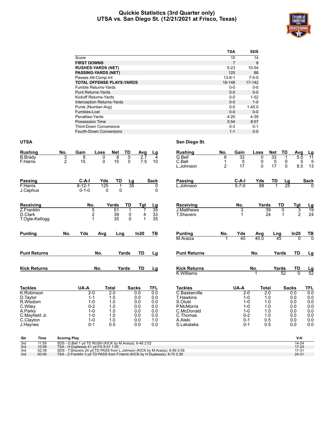#### **Quickie Statistics (3rd Quarter only) UTSA vs. San Diego St. (12/21/2021 at Frisco, Texas)**



|                                   | TSA          | <b>SDS</b>  |
|-----------------------------------|--------------|-------------|
| Score                             | 10           | 14          |
| <b>FIRST DOWNS</b>                | 7            | 8           |
| <b>RUSHES-YARDS (NET)</b>         | $5-23$       | 10-54       |
| <b>PASSING-YARDS (NET)</b>        | 125          | 88          |
| Passes Att-Comp-Int               | $13 - 8 - 1$ | $7 - 5 - 0$ |
| <b>TOTAL OFFENSE PLAYS-YARDS</b>  | 18-148       | 17-142      |
| <b>Fumble Returns-Yards</b>       | $0 - 0$      | $0 - 0$     |
| <b>Punt Returns-Yards</b>         | $0 - 0$      | $0 - 0$     |
| Kickoff Returns-Yards             | $0 - 0$      | $1 - 52$    |
| <b>Interception Returns-Yards</b> | $0 - 0$      | $1 - 0$     |
| Punts (Number-Avg)                | $0 - 0$      | $1 - 45.0$  |
| Fumbles-Lost                      | $0 - 0$      | $0 - 0$     |
| Penalties-Yards                   | $4 - 20$     | $4 - 39$    |
| Possession Time                   | 5:54         | 8:57        |
| <b>Third-Down Conversions</b>     | $0 - 3$      | $0 - 1$     |
| Fourth-Down Conversions           | $1 - 1$      | $0 - 0$     |

#### **UTSA San Diego St.**

| <b>Rushing</b>                                                                                      | No.                 | Gain                                                                                 | Loss                              | Net                                                               | TD                       | Avg                                                  | <u>Lg</u>                                            | <b>Rushing</b>                                                                                                | No.                                 | Gain                                                                               | Loss                                                 | Net           | TD                      | Avg                                                  |                                                      |
|-----------------------------------------------------------------------------------------------------|---------------------|--------------------------------------------------------------------------------------|-----------------------------------|-------------------------------------------------------------------|--------------------------|------------------------------------------------------|------------------------------------------------------|---------------------------------------------------------------------------------------------------------------|-------------------------------------|------------------------------------------------------------------------------------|------------------------------------------------------|---------------|-------------------------|------------------------------------------------------|------------------------------------------------------|
| <b>B.</b> Brady<br>F.Harris                                                                         | 3<br>$\overline{2}$ | 8<br>15                                                                              | 0<br>$\Omega$                     | 8<br>15                                                           | 0<br>$\Omega$            | 2.7<br>7.5                                           | 4<br>10                                              | G.Bell<br>C.Bell<br>L.Johnson                                                                                 | 6<br>$\mathbf{1}$<br>$\overline{2}$ | 33<br>5<br>17                                                                      | 0<br>0<br>0                                          | 33<br>5<br>17 | 1<br>0<br>$\Omega$      | 5.5<br>5<br>8.5                                      | $\frac{Lg}{11}$<br>5<br>13                           |
| <b>Passing</b><br>F.Harris<br>J.Cephus                                                              |                     | $C-A-I$<br>$8 - 12 - 1$<br>$0 - 1 - 0$                                               | Yds<br>125<br>0                   | <b>TD</b><br>1<br>$\mathbf{0}$                                    | $\frac{Lg}{35}$          |                                                      | <b>Sack</b><br>0<br>0                                | <b>Passing</b><br>L.Johnson                                                                                   |                                     | $C-A-I$<br>$5 - 7 - 0$                                                             | Yds<br>88                                            | TD            | $\frac{\text{Lg}}{25}$  |                                                      | <b>Sack</b><br>$\Omega$                              |
| Receiving<br>Z.Franklin<br>D.Clark<br>T.Ogle-Kellogg                                                |                     | No.                                                                                  | 5<br>$\overline{\mathbf{c}}$<br>1 | Yards<br>51<br>39<br>35                                           | TD<br>1<br>0<br>$\Omega$ | Tgt<br>7<br>4<br>$\mathbf{1}$                        | <u>Lg</u><br>$\overline{35}$<br>$\frac{33}{35}$      | Receiving<br><b>J.Matthews</b><br><b>T.Shavers</b>                                                            |                                     | No.<br>3                                                                           | Yards<br>39<br>24                                    |               | TD<br>0<br>$\mathbf{1}$ | Tgt<br>3<br>$\overline{2}$                           | $\frac{Lg}{19}$<br>24                                |
| <b>Punting</b>                                                                                      | No.                 | Yds                                                                                  | Avg                               | Lng                                                               |                          | In20                                                 | TB                                                   | <b>Punting</b><br>M.Araiza                                                                                    | No.                                 | Yds<br>45                                                                          | Avg<br>45.0                                          | Lng<br>45     |                         | In20<br>$\Omega$                                     | $rac{TB}{0}$                                         |
| <b>Punt Returns</b>                                                                                 |                     |                                                                                      | No.                               |                                                                   | Yards                    | TD                                                   | Lg                                                   | <b>Punt Returns</b>                                                                                           |                                     |                                                                                    | No.                                                  | Yards         |                         | TD                                                   | <u>Lg</u>                                            |
| <b>Kick Returns</b>                                                                                 |                     |                                                                                      | No.                               |                                                                   | Yards                    | TD                                                   | Lg                                                   | <b>Kick Returns</b><br>K. Williams                                                                            |                                     |                                                                                    | No.                                                  | Yards         | 52                      | TD<br>$\overline{0}$                                 | $\frac{Lg}{52}$                                      |
| <b>Tackles</b>                                                                                      |                     | UA-A                                                                                 |                                   | <b>Total</b>                                                      |                          | <b>Sacks</b>                                         | <b>TFL</b>                                           | <b>Tackles</b>                                                                                                |                                     | UA-A                                                                               | <b>Total</b>                                         |               | <b>Sacks</b>            |                                                      | <b>TFL</b>                                           |
| K.Robinson<br>D.Taylor<br>R.Wisdom<br>C.Wiley<br>A.Parks<br>C.Mayfield Jr.<br>C.Clayton<br>J.Haynes |                     | $2 - 0$<br>$1 - 1$<br>$1 - 0$<br>$0 - 2$<br>$1 - 0$<br>$1 - 0$<br>$1 - 0$<br>$0 - 1$ |                                   | $\overline{2.0}$<br>1.5<br>1.0<br>1.0<br>1.0<br>1.0<br>1.0<br>0.5 |                          | 0.0<br>0.0<br>0.0<br>0.0<br>0.0<br>0.0<br>0.0<br>0.0 | 0.0<br>0.0<br>0.0<br>0.0<br>0.0<br>0.0<br>1.0<br>0.0 | C.Baskerville<br><b>T.Hawkins</b><br>S.Olubi<br>P.McMorris<br>C.McDonald<br>C.Thomas<br>A.Aleki<br>S.Lakalaka |                                     | $2-0$<br>$1 - 0$<br>$1 - 0$<br>$1 - 0$<br>$1 - 0$<br>$0 - 2$<br>$0 - 1$<br>$0 - 1$ | 2.0<br>1.0<br>1.0<br>1.0<br>1.0<br>1.0<br>0.5<br>0.5 |               |                         | 0.0<br>0.0<br>0.0<br>0.0<br>0.0<br>0.0<br>0.0<br>0.0 | 0.0<br>0.0<br>0.0<br>0.0<br>0.0<br>0.0<br>0.0<br>0.0 |
| <b>Time</b><br>Qtr<br>3rd<br>11:59                                                                  | <b>Scoring Play</b> | SDS - G.Bell 1 vd TD RUSH (KICK by M.Araiza), 6-48 2:52                              |                                   |                                                                   |                          |                                                      |                                                      |                                                                                                               |                                     |                                                                                    |                                                      |               |                         | V-H<br>14-24                                         |                                                      |

| $\overline{3}$ rd | 11:59 | SDS - G.Bell 1 vd TD RUSH (KICK by M.Araiza), 6-48 2:52                       | 14-24     |
|-------------------|-------|-------------------------------------------------------------------------------|-----------|
| 3rd               | 10:09 | TSA - H.Duplessis 41 vd FG 6-51 1:50                                          | $17 - 24$ |
| 3rd               | 02:39 | SDS - T. Shavers 24 yd TD PASS from L. Johnson (KICK by M. Araiza), 6-69 2:58 | 17-31     |
| 3rd               | 00:00 | TSA - Z.Franklin 3 yd TD PASS from F.Harris (KICK by H.Duplessis), 8-75 2:39  | $24 - 31$ |
|                   |       |                                                                               |           |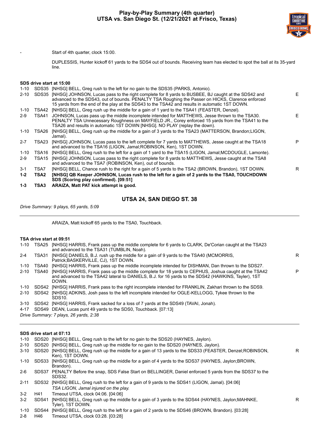

Start of 4th quarter, clock 15:00.

DUPLESSIS, Hunter kickoff 61 yards to the SDS4 out of bounds. Receiving team has elected to spot the ball at its 35-yard line.

#### **SDS drive start at 15:00**

| $1 - 3$  | TSA3        | ARAIZA, Matt PAT kick attempt is good.                                                                                                                                                                                                                                                                    |    |
|----------|-------------|-----------------------------------------------------------------------------------------------------------------------------------------------------------------------------------------------------------------------------------------------------------------------------------------------------------|----|
| $1 - 2$  | <b>TSA2</b> | [NHSG] QB Keeper JOHNSON, Lucas rush to the left for a gain of 2 yards to the TSA0, TOUCHDOWN<br>SDS (Scoring play confirmed). [09:51]                                                                                                                                                                    |    |
| $3-1$    | TSA7        | [NHSG] BELL, Chance rush to the right for a gain of 5 yards to the TSA2 (BROWN, Brandon), 1ST DOWN.                                                                                                                                                                                                       | R  |
| $2-9$    | TSA15       | [NHSG] JOHNSON, Lucas pass to the right complete for 8 yards to MATTHEWS, Jesse caught at the TSA8<br>and advanced to the TSA7 (ROBINSON, Ken), out of bounds.                                                                                                                                            |    |
| 1-10     | TSA16       | [NHSG] BELL, Greg rush to the left for a gain of 1 yard to the TSA15 (LIGON, Jamal; MCDOUGLE, Lamonte).                                                                                                                                                                                                   |    |
| $2 - 7$  | TSA23       | [NHSG] JOHNSON, Lucas pass to the left complete for 7 yards to MATTHEWS, Jesse caught at the TSA18<br>and advanced to the TSA16 (LIGON, Jamal; ROBINSON, Ken), 1ST DOWN.                                                                                                                                  | P  |
| $1 - 10$ | TSA26       | [NHSG] BELL, Greg rush up the middle for a gain of 3 yards to the TSA23 (MATTERSON, Brandon;LIGON,<br>Jamal).                                                                                                                                                                                             |    |
| $2-9$    |             | TSA41 JOHNSON, Lucas pass up the middle incomplete intended for MATTHEWS, Jesse thrown to the TSA30.<br>PENALTY TSA Unnecessary Roughness on MAYFIELD JR., Corey enforced 15 yards from the TSA41 to the<br>TSA26 and results in automatic 1ST DOWN [NHSG]. NO PLAY (replay the down).                    | E. |
| 1-10     | TSA42       | [NHSG] BELL, Greg rush up the middle for a gain of 1 yard to the TSA41 (FEASTER, Denzel).                                                                                                                                                                                                                 |    |
| $2 - 10$ | SDS35       | [NHSG] JOHNSON, Lucas pass to the right complete for 8 yards to BUSBEE, BJ caught at the SDS42 and<br>advanced to the SDS43, out of bounds. PENALTY TSA Roughing the Passer on HICKS, Clarence enforced<br>15 yards from the end of the play at the SDS43 to the TSA42 and results in automatic 1ST DOWN. | E. |
| $1 - 10$ | SDS35       | [NHSG] BELL, Greg rush to the left for no gain to the SDS35 (PARKS, Antonio).                                                                                                                                                                                                                             |    |
|          |             |                                                                                                                                                                                                                                                                                                           |    |

#### **UTSA 24, SAN DIEGO ST. 38**

*Drive Summary: 9 plays, 65 yards, 5:09*

ARAIZA, Matt kickoff 65 yards to the TSA0, Touchback.

#### **TSA drive start at 09:51**

| $1 - 10$ | TSA25 | [NHSG] HARRIS, Frank pass up the middle complete for 6 yards to CLARK, De'Corian caught at the TSA23<br>and advanced to the TSA31 (TUMBLIN, Noah).                                                                  |   |
|----------|-------|---------------------------------------------------------------------------------------------------------------------------------------------------------------------------------------------------------------------|---|
| $2 - 4$  | TSA31 | [NHSG] DANIELS, B.J. rush up the middle for a gain of 9 yards to the TSA40 (MCMORRIS,<br>Patrick; BASKERVILLE, CJ), 1ST DOWN.                                                                                       | R |
| $1 - 10$ | TSA40 | [NHSG] HARRIS, Frank pass up the middle incomplete intended for DISHMAN, Dan thrown to the SDS27.                                                                                                                   |   |
| $2 - 10$ | TSA40 | [NHSG] HARRIS, Frank pass up the middle complete for 18 yards to CEPHUS, Joshua caught at the TSA42<br>and advanced to the TSA42 lateral to DANIELS, B.J. for 16 yards to the SDS42 (HAWKINS, Tayler), 1ST<br>DOWN. | P |
| $1 - 10$ |       | SDS42 [NHSG] HARRIS, Frank pass to the right incomplete intended for FRANKLIN, Zakhari thrown to the SDS9.                                                                                                          |   |
| $2 - 10$ | SDS42 | [NHSG] ADKINS, Josh pass to the left incomplete intended for OGLE-KELLOGG, Tykee thrown to the<br>SDS <sub>10</sub>                                                                                                 |   |
| $3 - 10$ |       | SDS42 [NHSG] HARRIS, Frank sacked for a loss of 7 yards at the SDS49 (TAVAI, Jonah).                                                                                                                                |   |
| 4-17     |       | SDS49 DEAN, Lucas punt 49 yards to the SDS0, Touchback. [07:13]                                                                                                                                                     |   |

*Drive Summary: 7 plays, 26 yards, 2:38*

#### **SDS drive start at 07:13**

|          |       | 1-10 SDS20 [NHSG] BELL, Greg rush to the left for no gain to the SDS20 (HAYNES, Jaylon).                                               |   |
|----------|-------|----------------------------------------------------------------------------------------------------------------------------------------|---|
| $2 - 10$ |       | SDS20 [NHSG] BELL, Greg rush up the middle for no gain to the SDS20 (HAYNES, Jaylon).                                                  |   |
| 3-10     | SDS20 | [NHSG] BELL, Greg rush up the middle for a gain of 13 yards to the SDS33 (FEASTER, Denzel; ROBINSON,<br>Ken). 1ST DOWN.                | R |
| 1-10     |       | SDS33 [NHSG] BELL, Greg rush up the middle for a gain of 4 yards to the SDS37 (HAYNES, Jaylon;BROWN,<br>Brandon).                      |   |
| $2-6$    |       | SDS37 PENALTY Before the snap, SDS False Start on BELLINGER, Daniel enforced 5 yards from the SDS37 to the<br>SDS32.                   |   |
| $2 - 11$ | SDS32 | [NHSG] BELL, Greg rush to the left for a gain of 9 yards to the SDS41 (LIGON, Jamal). [04:06]<br>TSA LIGON, Jamal injured on the play. |   |
| $3-2$    | H41   | Timeout UTSA, clock 04:06. [04:06]                                                                                                     |   |
| $3 - 2$  | SDS41 | [NHSG] BELL, Greg rush up the middle for a gain of 3 yards to the SDS44 (HAYNES, Jaylon; MAHNKE,<br>Tvler). 1ST DOWN.                  | R |
| $1 - 10$ | SDS44 | [NHSG] BELL, Greg rush to the left for a gain of 2 yards to the SDS46 (BROWN, Brandon). [03:28]                                        |   |
|          |       |                                                                                                                                        |   |

2-8 H46 Timeout UTSA, clock 03:28. [03:28]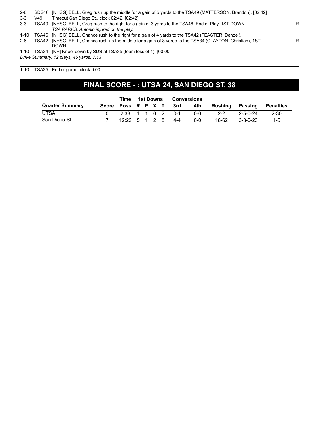| $2 - 8$  |       | SDS46 [NHSG] BELL, Greg rush up the middle for a gain of 5 yards to the TSA49 (MATTERSON, Brandon). [02:42]  |    |
|----------|-------|--------------------------------------------------------------------------------------------------------------|----|
| $3 - 3$  | V49   | Timeout San Diego St., clock 02:42. [02:42]                                                                  |    |
| $3 - 3$  |       | TSA49 [NHSG] BELL, Greg rush to the right for a gain of 3 yards to the TSA46, End of Play, 1ST DOWN.         | R. |
|          |       | TSA PARKS, Antonio injured on the play.                                                                      |    |
| $1 - 10$ |       | TSA46 [NHSG] BELL, Chance rush to the right for a gain of 4 yards to the TSA42 (FEASTER, Denzel).            |    |
| $2-6$    | TSA42 | [NHSG] BELL, Chance rush up the middle for a gain of 8 yards to the TSA34 (CLAYTON, Christian), 1ST<br>DOWN. | R  |
| 1-10     |       | TSA34 [NH] Kneel down by SDS at TSA35 (team loss of 1). [00:00]                                              |    |

*Drive Summary: 12 plays, 45 yards, 7:13*

#### 1-10 TSA35 End of game, clock 0:00.

### **FINAL SCORE - : UTSA 24, SAN DIEGO ST. 38**

|                        |                        |                   | Time 1st Downs |  |  | Conversions |     |         |          |           |
|------------------------|------------------------|-------------------|----------------|--|--|-------------|-----|---------|----------|-----------|
| <b>Quarter Summary</b> | Score Poss R P X T 3rd |                   |                |  |  |             | 4th | Rushing | Passing  | Penalties |
| UTSA                   |                        | 2:38 1 1 0 2 0-1  |                |  |  |             | 0-0 | $2 - 2$ | 2-5-0-24 | $2 - 30$  |
| San Diego St.          |                        | 12:22 5 1 2 8 4-4 |                |  |  |             | 0-0 | 18-62   | 3-3-0-23 | $1 - 5$   |